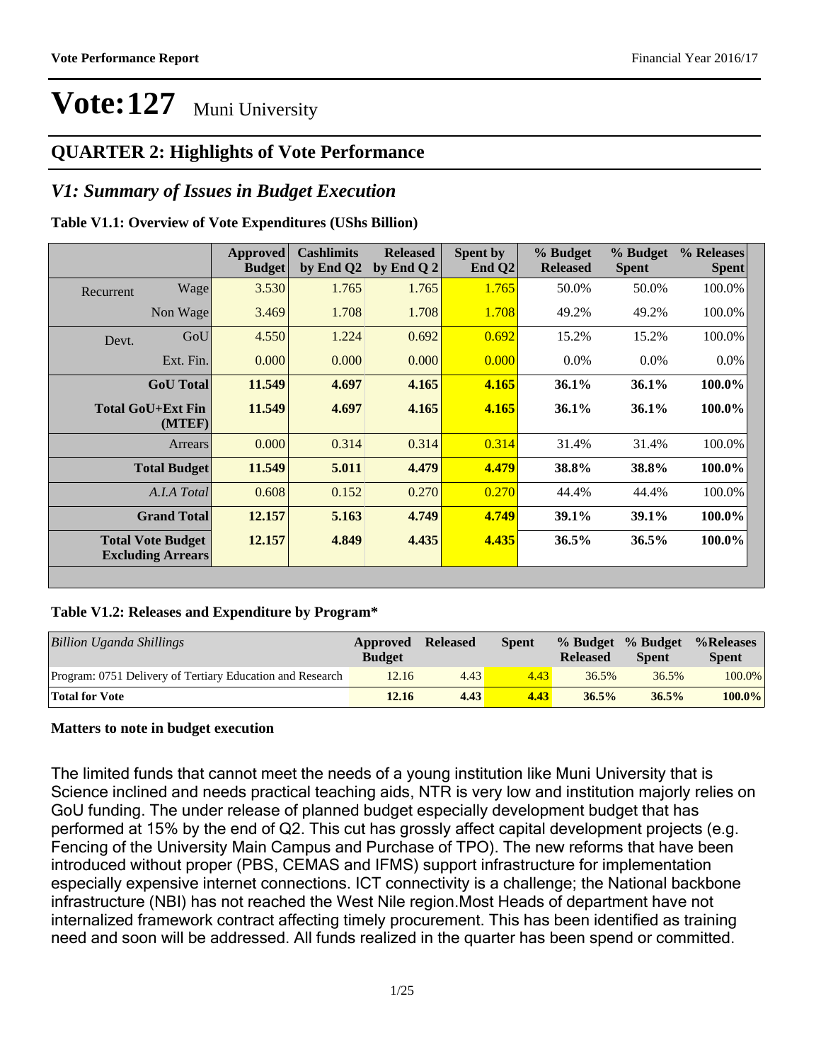### **QUARTER 2: Highlights of Vote Performance**

### *V1: Summary of Issues in Budget Execution*

#### **Table V1.1: Overview of Vote Expenditures (UShs Billion)**

|           |                                                      | Approved<br><b>Budget</b> | <b>Cashlimits</b><br>by End Q2 | <b>Released</b><br>by End Q $2$ | Spent by<br>End $Q2$ | % Budget<br><b>Released</b> | % Budget<br><b>Spent</b> | % Releases<br><b>Spent</b> |
|-----------|------------------------------------------------------|---------------------------|--------------------------------|---------------------------------|----------------------|-----------------------------|--------------------------|----------------------------|
| Recurrent | Wage                                                 | 3.530                     | 1.765                          | 1.765                           | 1.765                | 50.0%                       | 50.0%                    | 100.0%                     |
|           | Non Wage                                             | 3.469                     | 1.708                          | 1.708                           | 1.708                | 49.2%                       | 49.2%                    | 100.0%                     |
| Devt.     | GoU                                                  | 4.550                     | 1.224                          | 0.692                           | 0.692                | 15.2%                       | 15.2%                    | 100.0%                     |
|           | Ext. Fin.                                            | 0.000                     | 0.000                          | 0.000                           | 0.000                | $0.0\%$                     | $0.0\%$                  | $0.0\%$                    |
|           | <b>GoU</b> Total                                     | 11.549                    | 4.697                          | 4.165                           | 4.165                | 36.1%                       | 36.1%                    | $100.0\%$                  |
|           | Total GoU+Ext Fin<br>(MTEF)                          | 11.549                    | 4.697                          | 4.165                           | 4.165                | $36.1\%$                    | 36.1%                    | $100.0\%$                  |
|           | Arrears                                              | 0.000                     | 0.314                          | 0.314                           | 0.314                | 31.4%                       | 31.4%                    | 100.0%                     |
|           | <b>Total Budget</b>                                  | 11.549                    | 5.011                          | 4.479                           | 4.479                | 38.8%                       | 38.8%                    | $100.0\%$                  |
|           | A.I.A Total                                          | 0.608                     | 0.152                          | 0.270                           | 0.270                | 44.4%                       | 44.4%                    | 100.0%                     |
|           | <b>Grand Total</b>                                   | 12.157                    | 5.163                          | 4.749                           | 4.749                | 39.1%                       | 39.1%                    | $100.0\%$                  |
|           | <b>Total Vote Budget</b><br><b>Excluding Arrears</b> | 12.157                    | 4.849                          | 4.435                           | 4.435                | 36.5%                       | 36.5%                    | $100.0\%$                  |
|           |                                                      |                           |                                |                                 |                      |                             |                          |                            |

#### **Table V1.2: Releases and Expenditure by Program\***

| <b>Billion Uganda Shillings</b>                           | Approved<br><b>Budget</b> | <b>Released</b> | <b>Spent</b> | % Budget % Budget<br><b>Released</b> | <b>Spent</b> | %Releases<br><b>Spent</b> |
|-----------------------------------------------------------|---------------------------|-----------------|--------------|--------------------------------------|--------------|---------------------------|
| Program: 0751 Delivery of Tertiary Education and Research | 12.16                     | 4.43            | 4.43         | 36.5%                                | 36.5%        | $100.0\%$                 |
| <b>Total for Vote</b>                                     | 12.16                     | 4.43            | 4.43         | 36.5%                                | 36.5%        | $100.0\%$                 |

#### **Matters to note in budget execution**

The limited funds that cannot meet the needs of a young institution like Muni University that is Science inclined and needs practical teaching aids, NTR is very low and institution majorly relies on GoU funding. The under release of planned budget especially development budget that has performed at 15% by the end of Q2. This cut has grossly affect capital development projects (e.g. Fencing of the University Main Campus and Purchase of TPO). The new reforms that have been introduced without proper (PBS, CEMAS and IFMS) support infrastructure for implementation especially expensive internet connections. ICT connectivity is a challenge; the National backbone infrastructure (NBI) has not reached the West Nile region.Most Heads of department have not internalized framework contract affecting timely procurement. This has been identified as training need and soon will be addressed. All funds realized in the quarter has been spend or committed.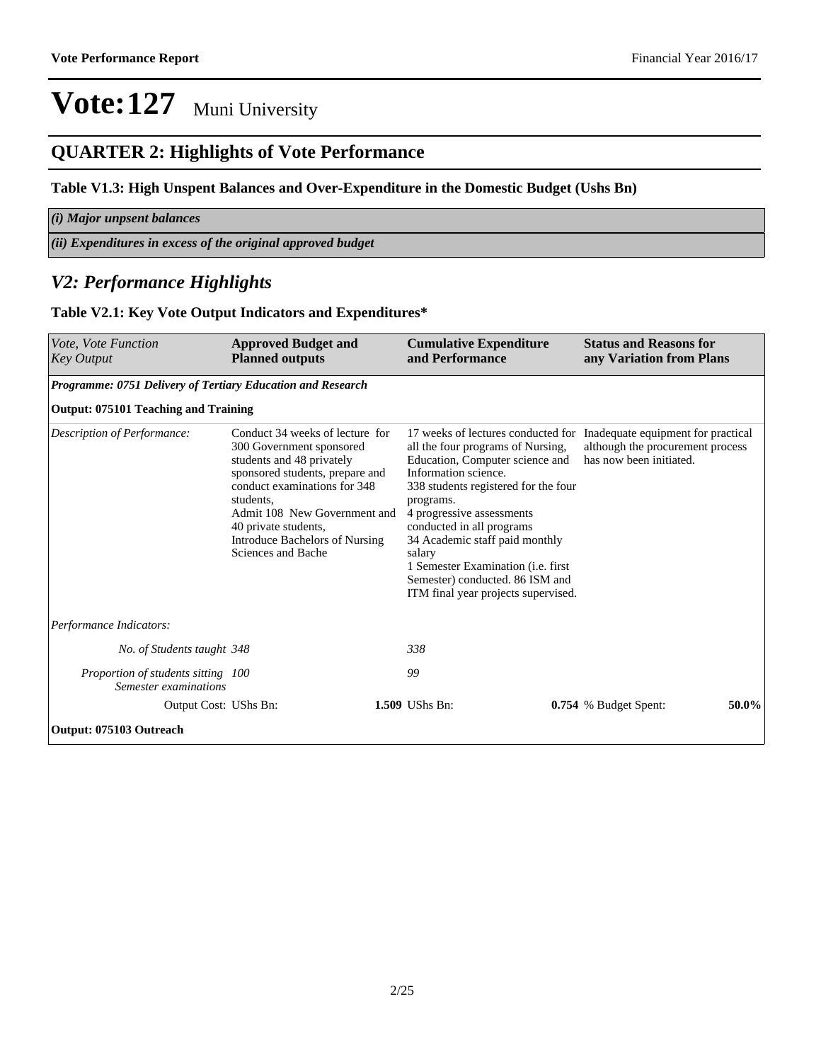### **QUARTER 2: Highlights of Vote Performance**

#### **Table V1.3: High Unspent Balances and Over-Expenditure in the Domestic Budget (Ushs Bn)**

| $(i)$ Major unpsent balances                                   |
|----------------------------------------------------------------|
| $(iii)$ Expenditures in excess of the original approved budget |

### *V2: Performance Highlights*

#### **Table V2.1: Key Vote Output Indicators and Expenditures\***

| <i>Vote. Vote Function</i><br><b>Key Output</b>             | <b>Approved Budget and</b><br><b>Planned outputs</b>                                                                                                                                                                                                                                     |  | <b>Cumulative Expenditure</b><br>and Performance                                                      | <b>Status and Reasons for</b><br>any Variation from Plans |                                                                                                                                                                                                                                                                                                      |                                                                                                   |  |
|-------------------------------------------------------------|------------------------------------------------------------------------------------------------------------------------------------------------------------------------------------------------------------------------------------------------------------------------------------------|--|-------------------------------------------------------------------------------------------------------|-----------------------------------------------------------|------------------------------------------------------------------------------------------------------------------------------------------------------------------------------------------------------------------------------------------------------------------------------------------------------|---------------------------------------------------------------------------------------------------|--|
| Programme: 0751 Delivery of Tertiary Education and Research |                                                                                                                                                                                                                                                                                          |  |                                                                                                       |                                                           |                                                                                                                                                                                                                                                                                                      |                                                                                                   |  |
| Output: 075101 Teaching and Training                        |                                                                                                                                                                                                                                                                                          |  |                                                                                                       |                                                           |                                                                                                                                                                                                                                                                                                      |                                                                                                   |  |
| Description of Performance:                                 | Conduct 34 weeks of lecture for<br>300 Government sponsored<br>students and 48 privately<br>sponsored students, prepare and<br>conduct examinations for 348<br>students.<br>Admit 108 New Government and<br>40 private students,<br>Introduce Bachelors of Nursing<br>Sciences and Bache |  | Information science.<br>programs.<br>4 progressive assessments<br>conducted in all programs<br>salary |                                                           | 17 weeks of lectures conducted for<br>all the four programs of Nursing,<br>Education, Computer science and<br>338 students registered for the four<br>34 Academic staff paid monthly<br>1 Semester Examination (i.e. first<br>Semester) conducted. 86 ISM and<br>ITM final year projects supervised. | Inadequate equipment for practical<br>although the procurement process<br>has now been initiated. |  |
| Performance Indicators:                                     |                                                                                                                                                                                                                                                                                          |  |                                                                                                       |                                                           |                                                                                                                                                                                                                                                                                                      |                                                                                                   |  |
| No. of Students taught 348                                  |                                                                                                                                                                                                                                                                                          |  | 338                                                                                                   |                                                           |                                                                                                                                                                                                                                                                                                      |                                                                                                   |  |
| Proportion of students sitting 100<br>Semester examinations |                                                                                                                                                                                                                                                                                          |  | 99                                                                                                    |                                                           |                                                                                                                                                                                                                                                                                                      |                                                                                                   |  |
| Output Cost: UShs Bn:                                       |                                                                                                                                                                                                                                                                                          |  | 1.509 UShs Bn:                                                                                        | 50.0%<br>0.754 % Budget Spent:                            |                                                                                                                                                                                                                                                                                                      |                                                                                                   |  |
| Output: 075103 Outreach                                     |                                                                                                                                                                                                                                                                                          |  |                                                                                                       |                                                           |                                                                                                                                                                                                                                                                                                      |                                                                                                   |  |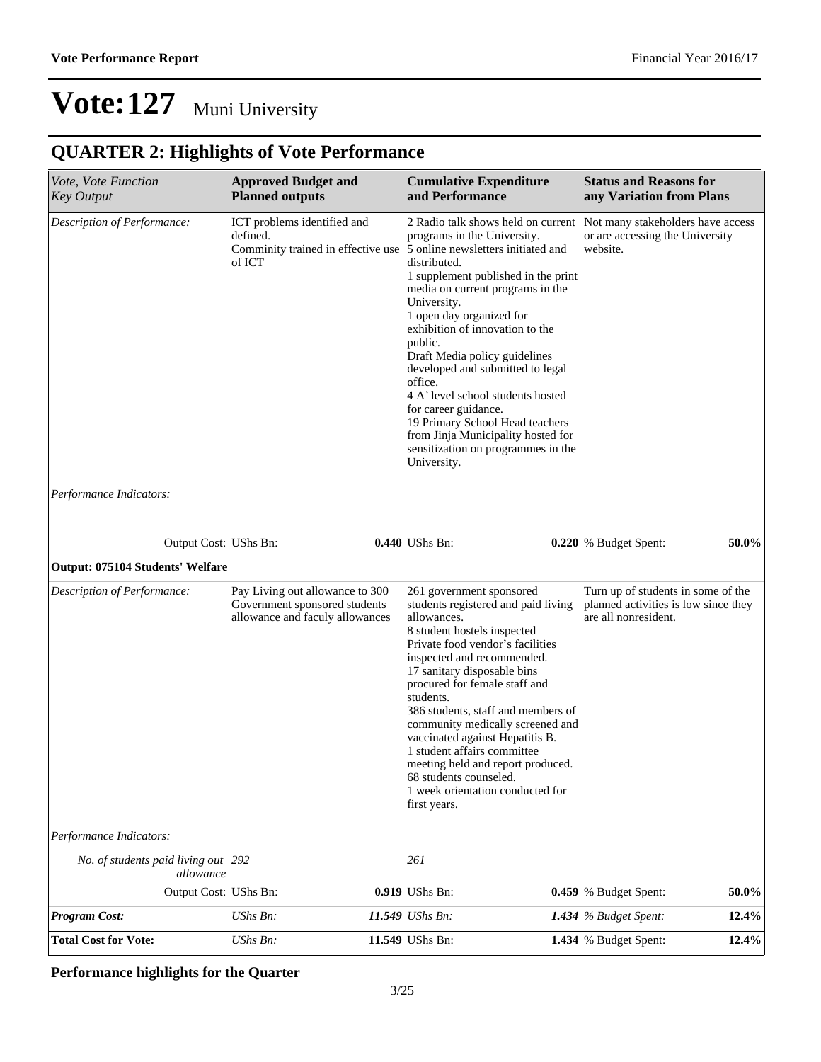## **QUARTER 2: Highlights of Vote Performance**

| Vote, Vote Function<br><b>Key Output</b>         | <b>Approved Budget and</b><br><b>Planned outputs</b>                                                | <b>Cumulative Expenditure</b><br>and Performance                                                                                                                                                                                                                                                                                                                                                                                                                                                                                                                    | <b>Status and Reasons for</b><br>any Variation from Plans                                                           |
|--------------------------------------------------|-----------------------------------------------------------------------------------------------------|---------------------------------------------------------------------------------------------------------------------------------------------------------------------------------------------------------------------------------------------------------------------------------------------------------------------------------------------------------------------------------------------------------------------------------------------------------------------------------------------------------------------------------------------------------------------|---------------------------------------------------------------------------------------------------------------------|
| Description of Performance:                      | ICT problems identified and<br>defined.<br>of ICT                                                   | programs in the University.<br>Comminity trained in effective use 5 online newsletters initiated and<br>distributed.<br>1 supplement published in the print<br>media on current programs in the<br>University.<br>1 open day organized for<br>exhibition of innovation to the<br>public.<br>Draft Media policy guidelines<br>developed and submitted to legal<br>office.<br>4 A' level school students hosted<br>for career guidance.<br>19 Primary School Head teachers<br>from Jinja Municipality hosted for<br>sensitization on programmes in the<br>University. | 2 Radio talk shows held on current Not many stakeholders have access<br>or are accessing the University<br>website. |
| Performance Indicators:                          |                                                                                                     |                                                                                                                                                                                                                                                                                                                                                                                                                                                                                                                                                                     |                                                                                                                     |
| Output Cost: UShs Bn:                            |                                                                                                     | 0.440 UShs Bn:                                                                                                                                                                                                                                                                                                                                                                                                                                                                                                                                                      | 50.0%<br>0.220 % Budget Spent:                                                                                      |
| <b>Output: 075104 Students' Welfare</b>          |                                                                                                     |                                                                                                                                                                                                                                                                                                                                                                                                                                                                                                                                                                     |                                                                                                                     |
| Description of Performance:                      | Pay Living out allowance to 300<br>Government sponsored students<br>allowance and faculy allowances | 261 government sponsored<br>students registered and paid living<br>allowances.<br>8 student hostels inspected<br>Private food vendor's facilities<br>inspected and recommended.<br>17 sanitary disposable bins<br>procured for female staff and<br>students.<br>386 students, staff and members of<br>community medically screened and<br>vaccinated against Hepatitis B.<br>1 student affairs committee<br>meeting held and report produced.<br>68 students counseled.<br>1 week orientation conducted for<br>first years.                                         | Turn up of students in some of the<br>planned activities is low since they<br>are all nonresident.                  |
| Performance Indicators:                          |                                                                                                     |                                                                                                                                                                                                                                                                                                                                                                                                                                                                                                                                                                     |                                                                                                                     |
| No. of students paid living out 292<br>allowance |                                                                                                     | 261                                                                                                                                                                                                                                                                                                                                                                                                                                                                                                                                                                 |                                                                                                                     |
| Output Cost: UShs Bn:                            |                                                                                                     | 0.919 UShs Bn:                                                                                                                                                                                                                                                                                                                                                                                                                                                                                                                                                      | 0.459 % Budget Spent:<br>50.0%                                                                                      |
| <b>Program Cost:</b>                             | UShs Bn:                                                                                            | 11.549 UShs Bn:                                                                                                                                                                                                                                                                                                                                                                                                                                                                                                                                                     | 12.4%<br>1.434 % Budget Spent:                                                                                      |
| <b>Total Cost for Vote:</b>                      | UShs Bn:                                                                                            | 11.549 UShs Bn:                                                                                                                                                                                                                                                                                                                                                                                                                                                                                                                                                     | 12.4%<br>1.434 % Budget Spent:                                                                                      |

#### **Performance highlights for the Quarter**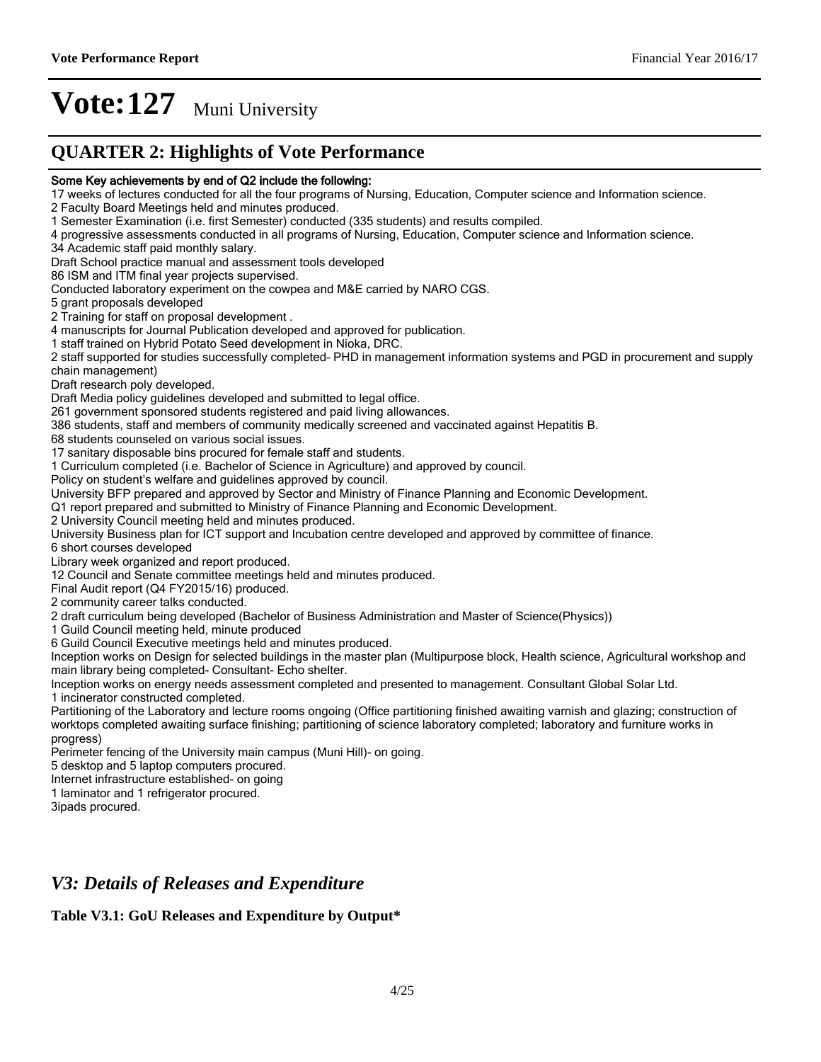### **QUARTER 2: Highlights of Vote Performance**

#### Some Key achievements by end of Q2 include the following:

17 weeks of lectures conducted for all the four programs of Nursing, Education, Computer science and Information science.

2 Faculty Board Meetings held and minutes produced.

1 Semester Examination (i.e. first Semester) conducted (335 students) and results compiled.

4 progressive assessments conducted in all programs of Nursing, Education, Computer science and Information science.

34 Academic staff paid monthly salary.

Draft School practice manual and assessment tools developed

86 ISM and ITM final year projects supervised.

Conducted laboratory experiment on the cowpea and M&E carried by NARO CGS.

5 grant proposals developed

2 Training for staff on proposal development .

4 manuscripts for Journal Publication developed and approved for publication.

1 staff trained on Hybrid Potato Seed development in Nioka, DRC.

2 staff supported for studies successfully completed-PHD in management information systems and PGD in procurement and supply chain management)

Draft research poly developed.

Draft Media policy guidelines developed and submitted to legal office.

261 government sponsored students registered and paid living allowances.

386 students, staff and members of community medically screened and vaccinated against Hepatitis B.

68 students counseled on various social issues.

17 sanitary disposable bins procured for female staff and students.

1 Curriculum completed (i.e. Bachelor of Science in Agriculture) and approved by council.

Policy on student's welfare and guidelines approved by council.

University BFP prepared and approved by Sector and Ministry of Finance Planning and Economic Development.

Q1 report prepared and submitted to Ministry of Finance Planning and Economic Development.

2 University Council meeting held and minutes produced.

University Business plan for ICT support and Incubation centre developed and approved by committee of finance.

6 short courses developed

Library week organized and report produced.

12 Council and Senate committee meetings held and minutes produced.

Final Audit report (Q4 FY2015/16) produced.

2 community career talks conducted.

2 draft curriculum being developed (Bachelor of Business Administration and Master of Science(Physics))

1 Guild Council meeting held, minute produced

6 Guild Council Executive meetings held and minutes produced.

Inception works on Design for selected buildings in the master plan (Multipurpose block, Health science, Agricultural workshop and main library being completed- Consultant- Echo shelter.

Inception works on energy needs assessment completed and presented to management. Consultant Global Solar Ltd.

1 incinerator constructed completed.

Partitioning of the Laboratory and lecture rooms ongoing (Office partitioning finished awaiting varnish and glazing; construction of worktops completed awaiting surface finishing; partitioning of science laboratory completed; laboratory and furniture works in progress)

Perimeter fencing of the University main campus (Muni Hill)- on going.

5 desktop and 5 laptop computers procured.

Internet infrastructure established- on going

1 laminator and 1 refrigerator procured.

3ipads procured.

### *V3: Details of Releases and Expenditure*

#### **Table V3.1: GoU Releases and Expenditure by Output\***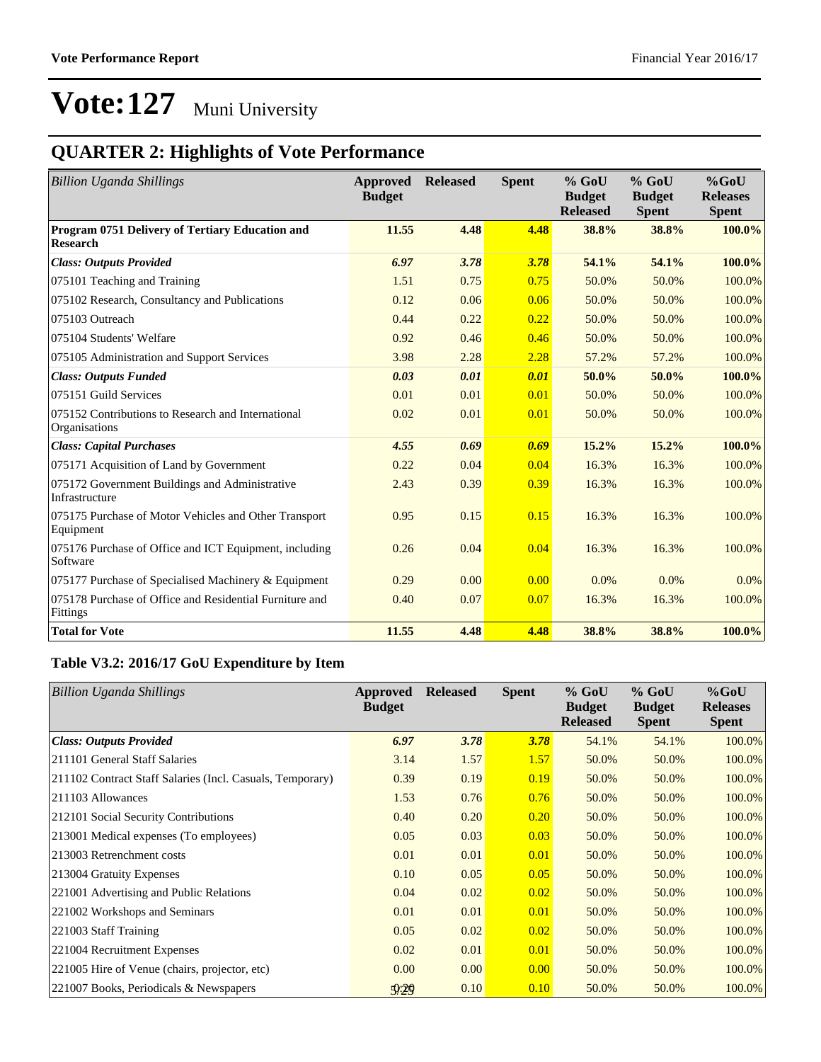## **QUARTER 2: Highlights of Vote Performance**

| <b>Billion Uganda Shillings</b>                                     | Approved<br><b>Budget</b> | <b>Released</b> | <b>Spent</b> | $%$ GoU<br><b>Budget</b><br><b>Released</b> | $%$ GoU<br><b>Budget</b><br><b>Spent</b> | $%$ GoU<br><b>Releases</b><br><b>Spent</b> |
|---------------------------------------------------------------------|---------------------------|-----------------|--------------|---------------------------------------------|------------------------------------------|--------------------------------------------|
| Program 0751 Delivery of Tertiary Education and<br><b>Research</b>  | 11.55                     | 4.48            | 4.48         | 38.8%                                       | 38.8%                                    | 100.0%                                     |
| <b>Class: Outputs Provided</b>                                      | 6.97                      | 3.78            | 3.78         | 54.1%                                       | 54.1%                                    | 100.0%                                     |
| 075101 Teaching and Training                                        | 1.51                      | 0.75            | 0.75         | 50.0%                                       | 50.0%                                    | 100.0%                                     |
| 075102 Research, Consultancy and Publications                       | 0.12                      | 0.06            | 0.06         | 50.0%                                       | 50.0%                                    | 100.0%                                     |
| 075103 Outreach                                                     | 0.44                      | 0.22            | 0.22         | 50.0%                                       | 50.0%                                    | 100.0%                                     |
| 075104 Students' Welfare                                            | 0.92                      | 0.46            | 0.46         | 50.0%                                       | 50.0%                                    | 100.0%                                     |
| 075105 Administration and Support Services                          | 3.98                      | 2.28            | 2.28         | 57.2%                                       | 57.2%                                    | 100.0%                                     |
| <b>Class: Outputs Funded</b>                                        | 0.03                      | 0.01            | 0.01         | 50.0%                                       | 50.0%                                    | 100.0%                                     |
| 075151 Guild Services                                               | 0.01                      | 0.01            | 0.01         | 50.0%                                       | 50.0%                                    | 100.0%                                     |
| 075152 Contributions to Research and International<br>Organisations | 0.02                      | 0.01            | 0.01         | 50.0%                                       | 50.0%                                    | 100.0%                                     |
| <b>Class: Capital Purchases</b>                                     | 4.55                      | 0.69            | 0.69         | 15.2%                                       | 15.2%                                    | 100.0%                                     |
| 075171 Acquisition of Land by Government                            | 0.22                      | 0.04            | 0.04         | 16.3%                                       | 16.3%                                    | 100.0%                                     |
| 075172 Government Buildings and Administrative<br>Infrastructure    | 2.43                      | 0.39            | 0.39         | 16.3%                                       | 16.3%                                    | 100.0%                                     |
| 075175 Purchase of Motor Vehicles and Other Transport<br>Equipment  | 0.95                      | 0.15            | 0.15         | 16.3%                                       | 16.3%                                    | 100.0%                                     |
| 075176 Purchase of Office and ICT Equipment, including<br>Software  | 0.26                      | 0.04            | 0.04         | 16.3%                                       | 16.3%                                    | 100.0%                                     |
| 075177 Purchase of Specialised Machinery & Equipment                | 0.29                      | 0.00            | 0.00         | 0.0%                                        | 0.0%                                     | $0.0\%$                                    |
| 075178 Purchase of Office and Residential Furniture and<br>Fittings | 0.40                      | 0.07            | 0.07         | 16.3%                                       | 16.3%                                    | 100.0%                                     |
| <b>Total for Vote</b>                                               | 11.55                     | 4.48            | 4.48         | 38.8%                                       | 38.8%                                    | 100.0%                                     |

#### **Table V3.2: 2016/17 GoU Expenditure by Item**

| <b>Billion Uganda Shillings</b>                           | Approved<br><b>Budget</b> | <b>Released</b> | <b>Spent</b> | $%$ GoU<br><b>Budget</b><br><b>Released</b> | $%$ GoU<br><b>Budget</b><br><b>Spent</b> | $%$ GoU<br><b>Releases</b><br><b>Spent</b> |
|-----------------------------------------------------------|---------------------------|-----------------|--------------|---------------------------------------------|------------------------------------------|--------------------------------------------|
| <b>Class: Outputs Provided</b>                            | 6.97                      | 3.78            | 3.78         | 54.1%                                       | 54.1%                                    | 100.0%                                     |
| 211101 General Staff Salaries                             | 3.14                      | 1.57            | 1.57         | 50.0%                                       | 50.0%                                    | 100.0%                                     |
| 211102 Contract Staff Salaries (Incl. Casuals, Temporary) | 0.39                      | 0.19            | 0.19         | 50.0%                                       | 50.0%                                    | 100.0%                                     |
| 211103 Allowances                                         | 1.53                      | 0.76            | 0.76         | 50.0%                                       | 50.0%                                    | 100.0%                                     |
| 212101 Social Security Contributions                      | 0.40                      | 0.20            | 0.20         | 50.0%                                       | 50.0%                                    | 100.0%                                     |
| 213001 Medical expenses (To employees)                    | 0.05                      | 0.03            | 0.03         | 50.0%                                       | 50.0%                                    | 100.0%                                     |
| 213003 Retrenchment costs                                 | 0.01                      | 0.01            | 0.01         | 50.0%                                       | 50.0%                                    | 100.0%                                     |
| 213004 Gratuity Expenses                                  | 0.10                      | 0.05            | 0.05         | 50.0%                                       | 50.0%                                    | 100.0%                                     |
| 221001 Advertising and Public Relations                   | 0.04                      | 0.02            | 0.02         | 50.0%                                       | 50.0%                                    | 100.0%                                     |
| 221002 Workshops and Seminars                             | 0.01                      | 0.01            | 0.01         | 50.0%                                       | 50.0%                                    | 100.0%                                     |
| 221003 Staff Training                                     | 0.05                      | 0.02            | 0.02         | 50.0%                                       | 50.0%                                    | 100.0%                                     |
| 221004 Recruitment Expenses                               | 0.02                      | 0.01            | 0.01         | 50.0%                                       | 50.0%                                    | 100.0%                                     |
| 221005 Hire of Venue (chairs, projector, etc)             | 0.00                      | 0.00            | 0.00         | 50.0%                                       | 50.0%                                    | 100.0%                                     |
| 221007 Books, Periodicals & Newspapers                    | 9.29                      | 0.10            | 0.10         | 50.0%                                       | 50.0%                                    | 100.0%                                     |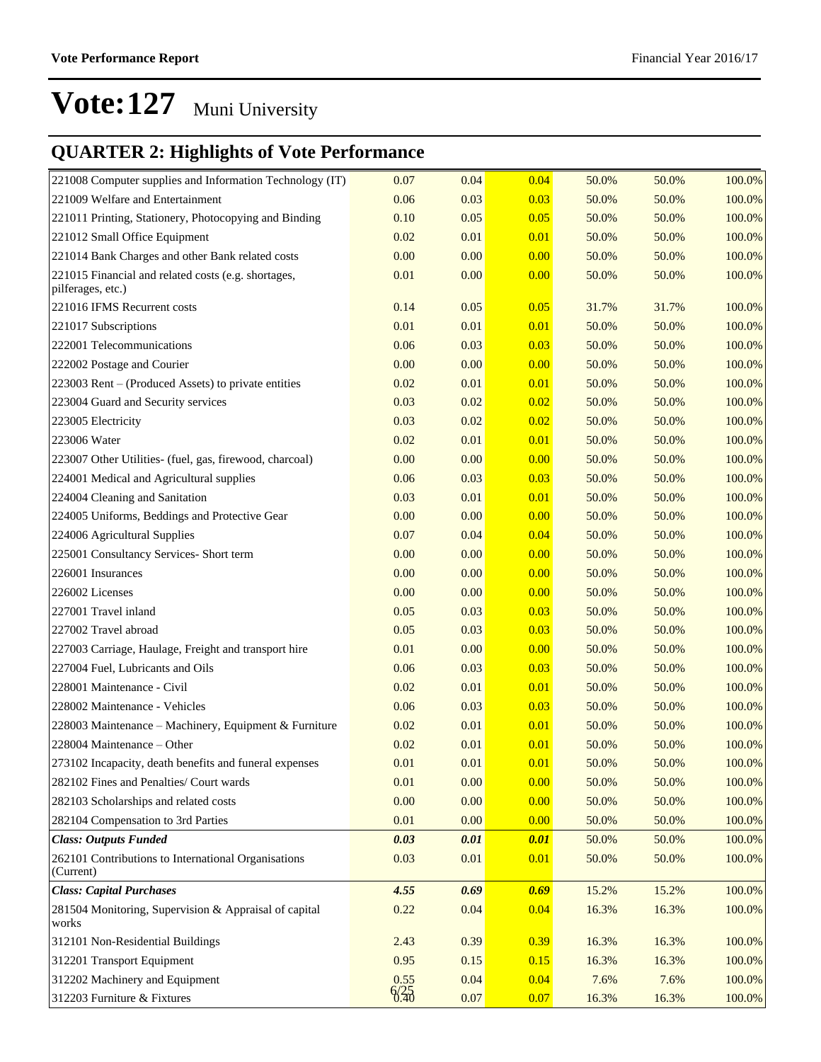## **QUARTER 2: Highlights of Vote Performance**

| 221008 Computer supplies and Information Technology (IT)                 | 0.07 | 0.04 | 0.04 | 50.0% | 50.0% | 100.0% |
|--------------------------------------------------------------------------|------|------|------|-------|-------|--------|
| 221009 Welfare and Entertainment                                         | 0.06 | 0.03 | 0.03 | 50.0% | 50.0% | 100.0% |
| 221011 Printing, Stationery, Photocopying and Binding                    | 0.10 | 0.05 | 0.05 | 50.0% | 50.0% | 100.0% |
| 221012 Small Office Equipment                                            | 0.02 | 0.01 | 0.01 | 50.0% | 50.0% | 100.0% |
| 221014 Bank Charges and other Bank related costs                         | 0.00 | 0.00 | 0.00 | 50.0% | 50.0% | 100.0% |
| 221015 Financial and related costs (e.g. shortages,<br>pilferages, etc.) | 0.01 | 0.00 | 0.00 | 50.0% | 50.0% | 100.0% |
| 221016 IFMS Recurrent costs                                              | 0.14 | 0.05 | 0.05 | 31.7% | 31.7% | 100.0% |
| 221017 Subscriptions                                                     | 0.01 | 0.01 | 0.01 | 50.0% | 50.0% | 100.0% |
| 222001 Telecommunications                                                | 0.06 | 0.03 | 0.03 | 50.0% | 50.0% | 100.0% |
| 222002 Postage and Courier                                               | 0.00 | 0.00 | 0.00 | 50.0% | 50.0% | 100.0% |
| 223003 Rent – (Produced Assets) to private entities                      | 0.02 | 0.01 | 0.01 | 50.0% | 50.0% | 100.0% |
| 223004 Guard and Security services                                       | 0.03 | 0.02 | 0.02 | 50.0% | 50.0% | 100.0% |
| 223005 Electricity                                                       | 0.03 | 0.02 | 0.02 | 50.0% | 50.0% | 100.0% |
| 223006 Water                                                             | 0.02 | 0.01 | 0.01 | 50.0% | 50.0% | 100.0% |
| 223007 Other Utilities- (fuel, gas, firewood, charcoal)                  | 0.00 | 0.00 | 0.00 | 50.0% | 50.0% | 100.0% |
| 224001 Medical and Agricultural supplies                                 | 0.06 | 0.03 | 0.03 | 50.0% | 50.0% | 100.0% |
| 224004 Cleaning and Sanitation                                           | 0.03 | 0.01 | 0.01 | 50.0% | 50.0% | 100.0% |
| 224005 Uniforms, Beddings and Protective Gear                            | 0.00 | 0.00 | 0.00 | 50.0% | 50.0% | 100.0% |
| 224006 Agricultural Supplies                                             | 0.07 | 0.04 | 0.04 | 50.0% | 50.0% | 100.0% |
| 225001 Consultancy Services- Short term                                  | 0.00 | 0.00 | 0.00 | 50.0% | 50.0% | 100.0% |
| 226001 Insurances                                                        | 0.00 | 0.00 | 0.00 | 50.0% | 50.0% | 100.0% |
| 226002 Licenses                                                          | 0.00 | 0.00 | 0.00 | 50.0% | 50.0% | 100.0% |
| 227001 Travel inland                                                     | 0.05 | 0.03 | 0.03 | 50.0% | 50.0% | 100.0% |
| 227002 Travel abroad                                                     | 0.05 | 0.03 | 0.03 | 50.0% | 50.0% | 100.0% |
| 227003 Carriage, Haulage, Freight and transport hire                     | 0.01 | 0.00 | 0.00 | 50.0% | 50.0% | 100.0% |
| 227004 Fuel, Lubricants and Oils                                         | 0.06 | 0.03 | 0.03 | 50.0% | 50.0% | 100.0% |
| 228001 Maintenance - Civil                                               | 0.02 | 0.01 | 0.01 | 50.0% | 50.0% | 100.0% |
| 228002 Maintenance - Vehicles                                            | 0.06 | 0.03 | 0.03 | 50.0% | 50.0% | 100.0% |
| 228003 Maintenance – Machinery, Equipment & Furniture                    | 0.02 | 0.01 | 0.01 | 50.0% | 50.0% | 100.0% |
| 228004 Maintenance – Other                                               | 0.02 | 0.01 | 0.01 | 50.0% | 50.0% | 100.0% |
| 273102 Incapacity, death benefits and funeral expenses                   | 0.01 | 0.01 | 0.01 | 50.0% | 50.0% | 100.0% |
| 282102 Fines and Penalties/ Court wards                                  | 0.01 | 0.00 | 0.00 | 50.0% | 50.0% | 100.0% |
| 282103 Scholarships and related costs                                    | 0.00 | 0.00 | 0.00 | 50.0% | 50.0% | 100.0% |
| 282104 Compensation to 3rd Parties                                       | 0.01 | 0.00 | 0.00 | 50.0% | 50.0% | 100.0% |
| <b>Class: Outputs Funded</b>                                             | 0.03 | 0.01 | 0.01 | 50.0% | 50.0% | 100.0% |
| 262101 Contributions to International Organisations<br>(Current)         | 0.03 | 0.01 | 0.01 | 50.0% | 50.0% | 100.0% |
| <b>Class: Capital Purchases</b>                                          | 4.55 | 0.69 | 0.69 | 15.2% | 15.2% | 100.0% |
| 281504 Monitoring, Supervision & Appraisal of capital<br>works           | 0.22 | 0.04 | 0.04 | 16.3% | 16.3% | 100.0% |
| 312101 Non-Residential Buildings                                         | 2.43 | 0.39 | 0.39 | 16.3% | 16.3% | 100.0% |
| 312201 Transport Equipment                                               | 0.95 | 0.15 | 0.15 | 16.3% | 16.3% | 100.0% |
| 312202 Machinery and Equipment                                           | 0.55 | 0.04 | 0.04 | 7.6%  | 7.6%  | 100.0% |
| 312203 Furniture & Fixtures                                              | 6/35 | 0.07 | 0.07 | 16.3% | 16.3% | 100.0% |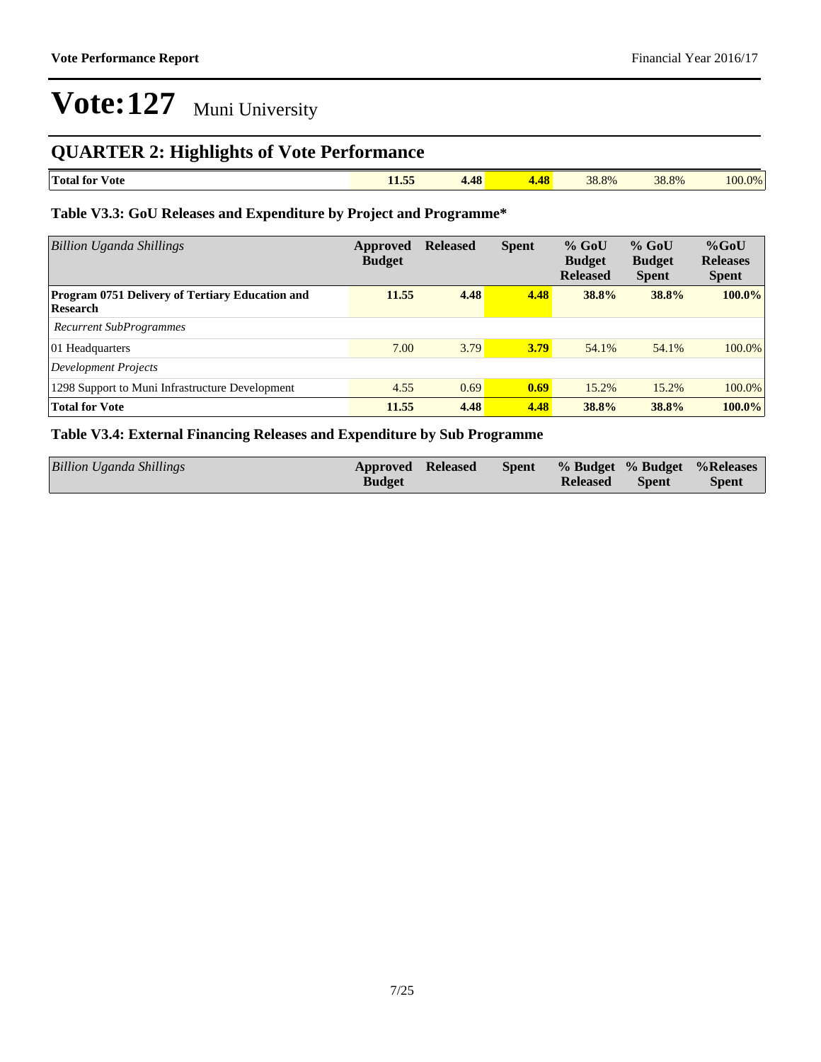## **QUARTER 2: Highlights of Vote Performance**

| m<br><b>Total for</b><br>Vote | $ -$<br>$-1.001$ | $\overline{48}$<br>0 T U | AC<br>. | 38.8% | 38.8% | 100.0% |
|-------------------------------|------------------|--------------------------|---------|-------|-------|--------|

#### **Table V3.3: GoU Releases and Expenditure by Project and Programme\***

| <b>Billion Uganda Shillings</b>                                    | Approved<br><b>Budget</b> | <b>Released</b> | <b>Spent</b> | $%$ GoU<br><b>Budget</b><br><b>Released</b> | $%$ GoU<br><b>Budget</b><br><b>Spent</b> | $%$ GoU<br><b>Releases</b><br><b>Spent</b> |
|--------------------------------------------------------------------|---------------------------|-----------------|--------------|---------------------------------------------|------------------------------------------|--------------------------------------------|
| <b>Program 0751 Delivery of Tertiary Education and</b><br>Research | 11.55                     | 4.48            | 4.48         | 38.8%                                       | 38.8%                                    | $100.0\%$                                  |
| <b>Recurrent SubProgrammes</b>                                     |                           |                 |              |                                             |                                          |                                            |
| 01 Headquarters                                                    | 7.00                      | 3.79            | 3.79         | 54.1%                                       | 54.1%                                    | $100.0\%$                                  |
| Development Projects                                               |                           |                 |              |                                             |                                          |                                            |
| 1298 Support to Muni Infrastructure Development                    | 4.55                      | 0.69            | 0.69         | 15.2%                                       | 15.2%                                    | 100.0%                                     |
| <b>Total for Vote</b>                                              | 11.55                     | 4.48            | 4.48         | 38.8%                                       | 38.8%                                    | $100.0\%$                                  |

#### **Table V3.4: External Financing Releases and Expenditure by Sub Programme**

| Billion Uganda Shillings | <b>Approved Released</b><br><b>Budget</b> |  | <b>Released</b> | <b>Spent</b> | <b>Spent</b> % Budget % Budget % Releases<br><b>Spent</b> |
|--------------------------|-------------------------------------------|--|-----------------|--------------|-----------------------------------------------------------|
|                          |                                           |  |                 |              |                                                           |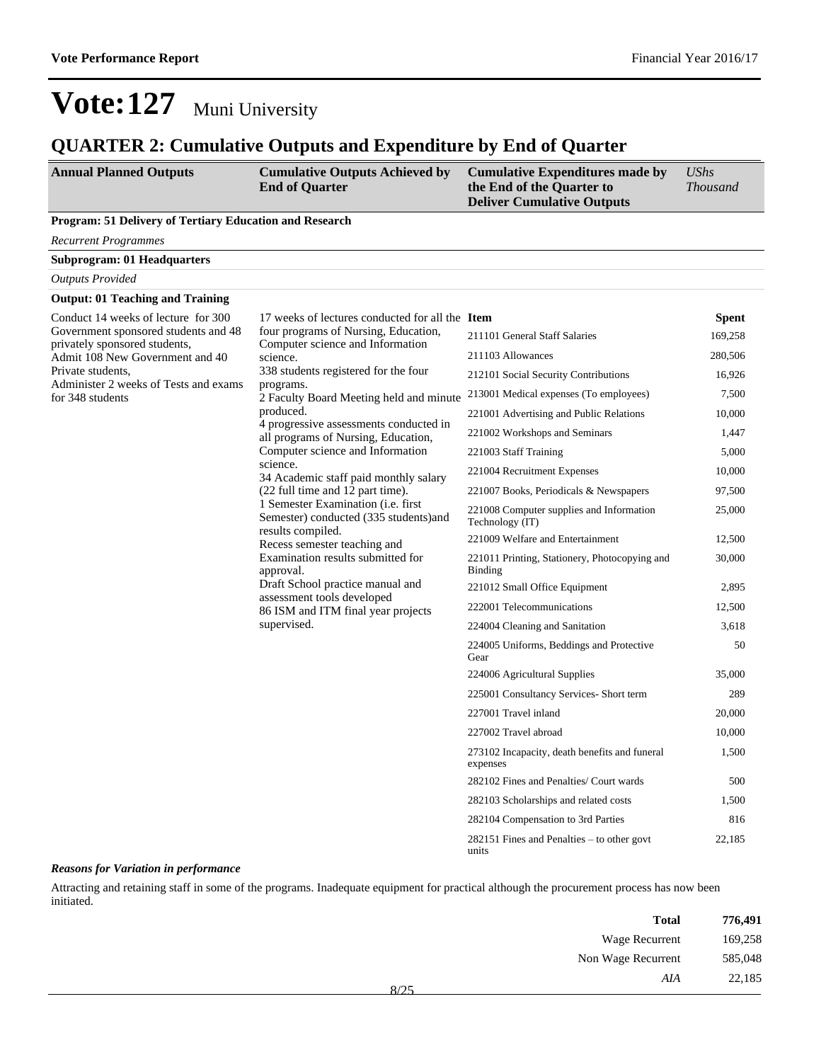### **QUARTER 2: Cumulative Outputs and Expenditure by End of Quarter**

| <b>Annual Planned Outputs</b> | <b>Cumulative Outputs Achieved by</b> | Cumulative Expenditures made by   | UShs            |
|-------------------------------|---------------------------------------|-----------------------------------|-----------------|
|                               | <b>End of Quarter</b>                 | the End of the Quarter to         | <b>Thousand</b> |
|                               |                                       | <b>Deliver Cumulative Outputs</b> |                 |

#### **Program: 51 Delivery of Tertiary Education and Research**

*Recurrent Programmes*

**Subprogram: 01 Headquarters**

| <b>Outputs Provided</b>                                               |                                                                                                                                                                                                                                                                                                                                                                                                                                                                                                                                                                                                                                                                                                                                                                                                                                                                                                                                                                                                                                                                                                                                                                                                            |                                                           |              |
|-----------------------------------------------------------------------|------------------------------------------------------------------------------------------------------------------------------------------------------------------------------------------------------------------------------------------------------------------------------------------------------------------------------------------------------------------------------------------------------------------------------------------------------------------------------------------------------------------------------------------------------------------------------------------------------------------------------------------------------------------------------------------------------------------------------------------------------------------------------------------------------------------------------------------------------------------------------------------------------------------------------------------------------------------------------------------------------------------------------------------------------------------------------------------------------------------------------------------------------------------------------------------------------------|-----------------------------------------------------------|--------------|
| <b>Output: 01 Teaching and Training</b>                               |                                                                                                                                                                                                                                                                                                                                                                                                                                                                                                                                                                                                                                                                                                                                                                                                                                                                                                                                                                                                                                                                                                                                                                                                            |                                                           |              |
| Conduct 14 weeks of lecture for 300                                   | 17 weeks of lectures conducted for all the <b>Item</b><br>four programs of Nursing, Education,<br>211101 General Staff Salaries<br>Computer science and Information<br>211103 Allowances<br>science.<br>338 students registered for the four<br>212101 Social Security Contributions<br>programs.<br>2 Faculty Board Meeting held and minute<br>produced.<br>221001 Advertising and Public Relations<br>4 progressive assessments conducted in<br>221002 Workshops and Seminars<br>all programs of Nursing, Education,<br>Computer science and Information<br>221003 Staff Training<br>science.<br>221004 Recruitment Expenses<br>34 Academic staff paid monthly salary<br>(22 full time and 12 part time).<br>1 Semester Examination ( <i>i.e.</i> first<br>Semester) conducted (335 students) and<br>Technology (IT)<br>results compiled.<br>221009 Welfare and Entertainment<br>Recess semester teaching and<br>Examination results submitted for<br><b>Binding</b><br>approval.<br>Draft School practice manual and<br>221012 Small Office Equipment<br>assessment tools developed<br>222001 Telecommunications<br>86 ISM and ITM final year projects<br>supervised.<br>224004 Cleaning and Sanitation |                                                           | <b>Spent</b> |
| Government sponsored students and 48<br>privately sponsored students, |                                                                                                                                                                                                                                                                                                                                                                                                                                                                                                                                                                                                                                                                                                                                                                                                                                                                                                                                                                                                                                                                                                                                                                                                            |                                                           | 169,258      |
| Admit 108 New Government and 40                                       |                                                                                                                                                                                                                                                                                                                                                                                                                                                                                                                                                                                                                                                                                                                                                                                                                                                                                                                                                                                                                                                                                                                                                                                                            |                                                           | 280,506      |
| Private students,<br>Administer 2 weeks of Tests and exams            |                                                                                                                                                                                                                                                                                                                                                                                                                                                                                                                                                                                                                                                                                                                                                                                                                                                                                                                                                                                                                                                                                                                                                                                                            |                                                           | 16,926       |
| for 348 students                                                      |                                                                                                                                                                                                                                                                                                                                                                                                                                                                                                                                                                                                                                                                                                                                                                                                                                                                                                                                                                                                                                                                                                                                                                                                            | 213001 Medical expenses (To employees)                    | 7,500        |
|                                                                       |                                                                                                                                                                                                                                                                                                                                                                                                                                                                                                                                                                                                                                                                                                                                                                                                                                                                                                                                                                                                                                                                                                                                                                                                            |                                                           | 10,000       |
|                                                                       |                                                                                                                                                                                                                                                                                                                                                                                                                                                                                                                                                                                                                                                                                                                                                                                                                                                                                                                                                                                                                                                                                                                                                                                                            |                                                           | 1,447        |
|                                                                       |                                                                                                                                                                                                                                                                                                                                                                                                                                                                                                                                                                                                                                                                                                                                                                                                                                                                                                                                                                                                                                                                                                                                                                                                            |                                                           | 5,000        |
|                                                                       |                                                                                                                                                                                                                                                                                                                                                                                                                                                                                                                                                                                                                                                                                                                                                                                                                                                                                                                                                                                                                                                                                                                                                                                                            |                                                           | 10,000       |
|                                                                       |                                                                                                                                                                                                                                                                                                                                                                                                                                                                                                                                                                                                                                                                                                                                                                                                                                                                                                                                                                                                                                                                                                                                                                                                            | 221007 Books, Periodicals & Newspapers                    | 97,500       |
|                                                                       |                                                                                                                                                                                                                                                                                                                                                                                                                                                                                                                                                                                                                                                                                                                                                                                                                                                                                                                                                                                                                                                                                                                                                                                                            | 221008 Computer supplies and Information                  | 25,000       |
|                                                                       |                                                                                                                                                                                                                                                                                                                                                                                                                                                                                                                                                                                                                                                                                                                                                                                                                                                                                                                                                                                                                                                                                                                                                                                                            |                                                           | 12,500       |
|                                                                       |                                                                                                                                                                                                                                                                                                                                                                                                                                                                                                                                                                                                                                                                                                                                                                                                                                                                                                                                                                                                                                                                                                                                                                                                            | 221011 Printing, Stationery, Photocopying and             | 30,000       |
|                                                                       |                                                                                                                                                                                                                                                                                                                                                                                                                                                                                                                                                                                                                                                                                                                                                                                                                                                                                                                                                                                                                                                                                                                                                                                                            |                                                           | 2,895        |
|                                                                       |                                                                                                                                                                                                                                                                                                                                                                                                                                                                                                                                                                                                                                                                                                                                                                                                                                                                                                                                                                                                                                                                                                                                                                                                            |                                                           | 12,500       |
|                                                                       |                                                                                                                                                                                                                                                                                                                                                                                                                                                                                                                                                                                                                                                                                                                                                                                                                                                                                                                                                                                                                                                                                                                                                                                                            |                                                           | 3,618        |
|                                                                       |                                                                                                                                                                                                                                                                                                                                                                                                                                                                                                                                                                                                                                                                                                                                                                                                                                                                                                                                                                                                                                                                                                                                                                                                            | 224005 Uniforms, Beddings and Protective<br>Gear          | 50           |
|                                                                       |                                                                                                                                                                                                                                                                                                                                                                                                                                                                                                                                                                                                                                                                                                                                                                                                                                                                                                                                                                                                                                                                                                                                                                                                            | 224006 Agricultural Supplies                              | 35,000       |
|                                                                       | 225001 Consultancy Services- Short term<br>227001 Travel inland                                                                                                                                                                                                                                                                                                                                                                                                                                                                                                                                                                                                                                                                                                                                                                                                                                                                                                                                                                                                                                                                                                                                            |                                                           | 289          |
|                                                                       |                                                                                                                                                                                                                                                                                                                                                                                                                                                                                                                                                                                                                                                                                                                                                                                                                                                                                                                                                                                                                                                                                                                                                                                                            |                                                           | 20,000       |
|                                                                       |                                                                                                                                                                                                                                                                                                                                                                                                                                                                                                                                                                                                                                                                                                                                                                                                                                                                                                                                                                                                                                                                                                                                                                                                            | 227002 Travel abroad                                      | 10,000       |
|                                                                       |                                                                                                                                                                                                                                                                                                                                                                                                                                                                                                                                                                                                                                                                                                                                                                                                                                                                                                                                                                                                                                                                                                                                                                                                            | 273102 Incapacity, death benefits and funeral<br>expenses | 1,500        |
|                                                                       | 282102 Fines and Penalties/ Court wards<br>282103 Scholarships and related costs                                                                                                                                                                                                                                                                                                                                                                                                                                                                                                                                                                                                                                                                                                                                                                                                                                                                                                                                                                                                                                                                                                                           |                                                           | 500          |
|                                                                       |                                                                                                                                                                                                                                                                                                                                                                                                                                                                                                                                                                                                                                                                                                                                                                                                                                                                                                                                                                                                                                                                                                                                                                                                            |                                                           | 1,500        |
|                                                                       |                                                                                                                                                                                                                                                                                                                                                                                                                                                                                                                                                                                                                                                                                                                                                                                                                                                                                                                                                                                                                                                                                                                                                                                                            | 282104 Compensation to 3rd Parties                        | 816          |
|                                                                       |                                                                                                                                                                                                                                                                                                                                                                                                                                                                                                                                                                                                                                                                                                                                                                                                                                                                                                                                                                                                                                                                                                                                                                                                            | 282151 Fines and Penalties – to other govt<br>units       | 22,185       |

#### *Reasons for Variation in performance*

Attracting and retaining staff in some of the programs. Inadequate equipment for practical although the procurement process has now been initiated.

| <b>Total</b>       |
|--------------------|
| Wage Recurrent     |
| Non Wage Recurrent |
| AIA<br>0/25        |
|                    |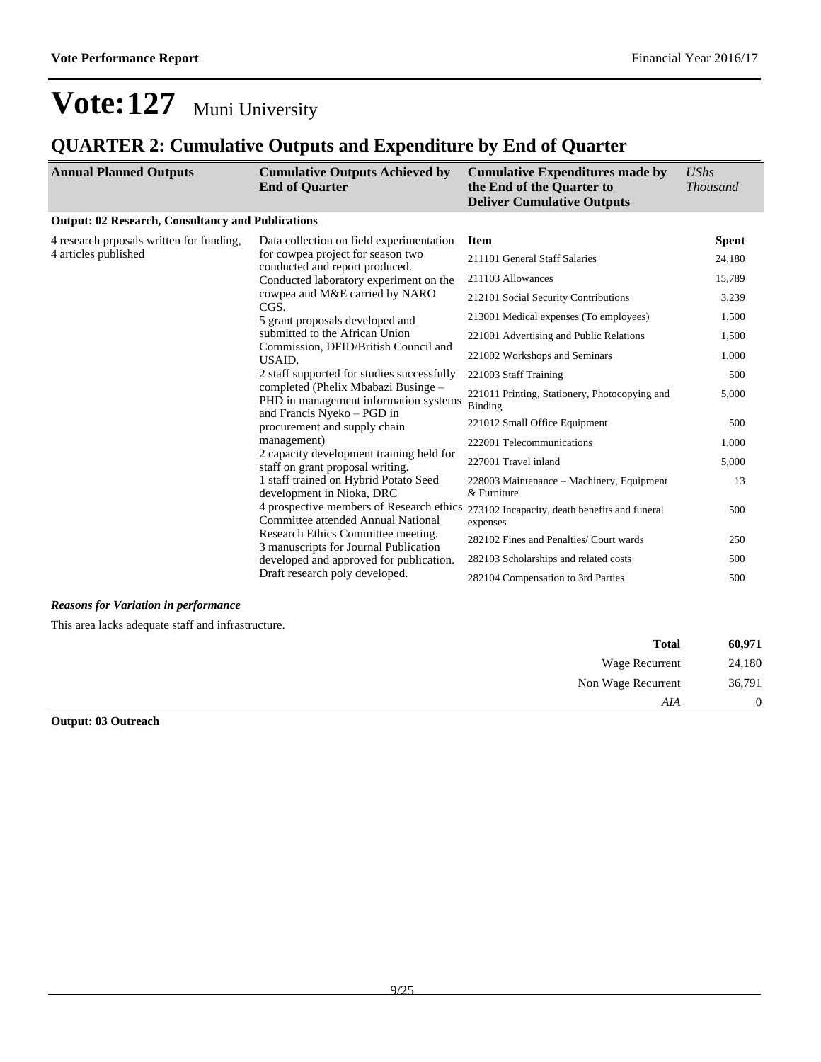## **QUARTER 2: Cumulative Outputs and Expenditure by End of Quarter**

| <b>Annual Planned Outputs</b>                                     | <b>Cumulative Outputs Achieved by</b><br><b>End of Quarter</b>                                                                                            | <b>Cumulative Expenditures made by</b><br>the End of the Quarter to<br><b>Deliver Cumulative Outputs</b> | <b>UShs</b><br><b>Thousand</b> |
|-------------------------------------------------------------------|-----------------------------------------------------------------------------------------------------------------------------------------------------------|----------------------------------------------------------------------------------------------------------|--------------------------------|
| <b>Output: 02 Research, Consultancy and Publications</b>          |                                                                                                                                                           |                                                                                                          |                                |
| 4 research proposals written for funding,<br>4 articles published | Data collection on field experimentation<br>for cowpea project for season two<br>conducted and report produced.<br>Conducted laboratory experiment on the | <b>Item</b><br>211101 General Staff Salaries                                                             | <b>Spent</b><br>24,180         |
|                                                                   |                                                                                                                                                           | 211103 Allowances                                                                                        | 15,789                         |
|                                                                   | cowpea and M&E carried by NARO<br>CGS.                                                                                                                    | 212101 Social Security Contributions                                                                     | 3,239                          |
|                                                                   | 5 grant proposals developed and                                                                                                                           | 213001 Medical expenses (To employees)                                                                   | 1,500                          |
|                                                                   | submitted to the African Union<br>Commission, DFID/British Council and<br>USAID.<br>2 staff supported for studies successfully                            | 221001 Advertising and Public Relations                                                                  | 1,500                          |
|                                                                   |                                                                                                                                                           | 221002 Workshops and Seminars                                                                            | 1,000                          |
|                                                                   |                                                                                                                                                           | 221003 Staff Training                                                                                    | 500                            |
| and Francis Nyeko - PGD in<br>management)                         | completed (Phelix Mbabazi Businge –<br>PHD in management information systems                                                                              | 221011 Printing, Stationery, Photocopying and<br>Binding                                                 | 5,000                          |
|                                                                   | procurement and supply chain                                                                                                                              | 221012 Small Office Equipment                                                                            | 500                            |
|                                                                   |                                                                                                                                                           | 222001 Telecommunications                                                                                | 1,000                          |
|                                                                   | 2 capacity development training held for<br>staff on grant proposal writing.                                                                              | 227001 Travel inland                                                                                     | 5,000                          |
|                                                                   | 1 staff trained on Hybrid Potato Seed<br>development in Nioka, DRC                                                                                        | 228003 Maintenance – Machinery, Equipment<br>& Furniture                                                 | 13                             |
|                                                                   | 4 prospective members of Research ethics<br>Committee attended Annual National                                                                            | 273102 Incapacity, death benefits and funeral<br>expenses                                                | 500                            |
|                                                                   | Research Ethics Committee meeting.<br>3 manuscripts for Journal Publication                                                                               | 282102 Fines and Penalties/ Court wards                                                                  | 250                            |
|                                                                   | developed and approved for publication.                                                                                                                   | 282103 Scholarships and related costs                                                                    | 500                            |
|                                                                   | Draft research poly developed.                                                                                                                            | 282104 Compensation to 3rd Parties                                                                       | 500                            |

#### *Reasons for Variation in performance*

This area lacks adequate staff and infrastructure.

| 60,971 | <b>Total</b>       |
|--------|--------------------|
| 24,180 | Wage Recurrent     |
| 36,791 | Non Wage Recurrent |
|        | AIA                |
|        |                    |

#### **Output: 03 Outreach**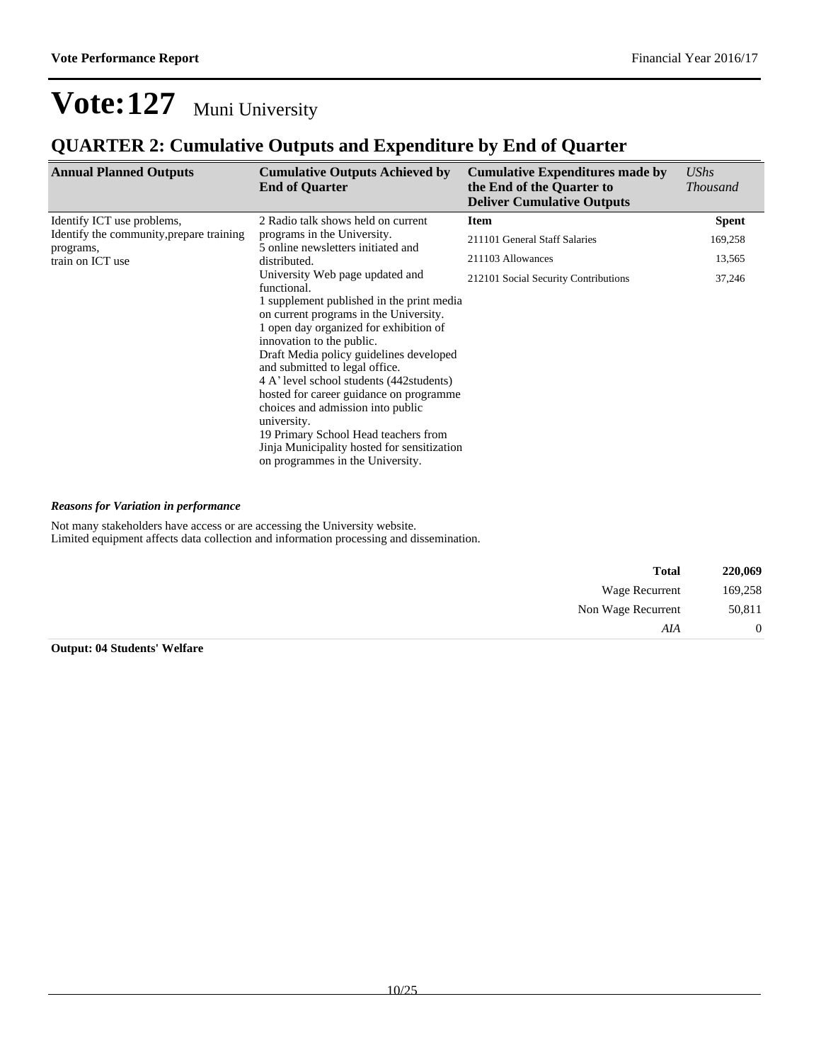## **QUARTER 2: Cumulative Outputs and Expenditure by End of Quarter**

| <b>Annual Planned Outputs</b>            | <b>Cumulative Outputs Achieved by</b><br><b>End of Quarter</b>                                                                                                                                                                                                                                                                                                                                                                                                                                                 | <b>Cumulative Expenditures made by</b><br>the End of the Quarter to<br><b>Deliver Cumulative Outputs</b> | <b>UShs</b><br><b>Thousand</b> |
|------------------------------------------|----------------------------------------------------------------------------------------------------------------------------------------------------------------------------------------------------------------------------------------------------------------------------------------------------------------------------------------------------------------------------------------------------------------------------------------------------------------------------------------------------------------|----------------------------------------------------------------------------------------------------------|--------------------------------|
| Identify ICT use problems,               | 2 Radio talk shows held on current                                                                                                                                                                                                                                                                                                                                                                                                                                                                             | <b>Item</b>                                                                                              | <b>Spent</b>                   |
| Identify the community, prepare training | programs in the University.<br>5 online newsletters initiated and<br>distributed.                                                                                                                                                                                                                                                                                                                                                                                                                              | 211101 General Staff Salaries                                                                            | 169,258                        |
| programs,<br>train on ICT use            |                                                                                                                                                                                                                                                                                                                                                                                                                                                                                                                | 211103 Allowances                                                                                        | 13,565                         |
|                                          | University Web page updated and<br>functional.                                                                                                                                                                                                                                                                                                                                                                                                                                                                 | 212101 Social Security Contributions                                                                     | 37,246                         |
|                                          | 1 supplement published in the print media<br>on current programs in the University.<br>1 open day organized for exhibition of<br>innovation to the public.<br>Draft Media policy guidelines developed<br>and submitted to legal office.<br>4 A' level school students (442 students)<br>hosted for career guidance on programme<br>choices and admission into public<br>university.<br>19 Primary School Head teachers from<br>Jinja Municipality hosted for sensitization<br>on programmes in the University. |                                                                                                          |                                |

#### *Reasons for Variation in performance*

Not many stakeholders have access or are accessing the University website. Limited equipment affects data collection and information processing and dissemination.

| 220,069  | <b>Total</b>       |
|----------|--------------------|
| 169,258  | Wage Recurrent     |
| 50,811   | Non Wage Recurrent |
| $\theta$ | AIA                |

**Output: 04 Students' Welfare**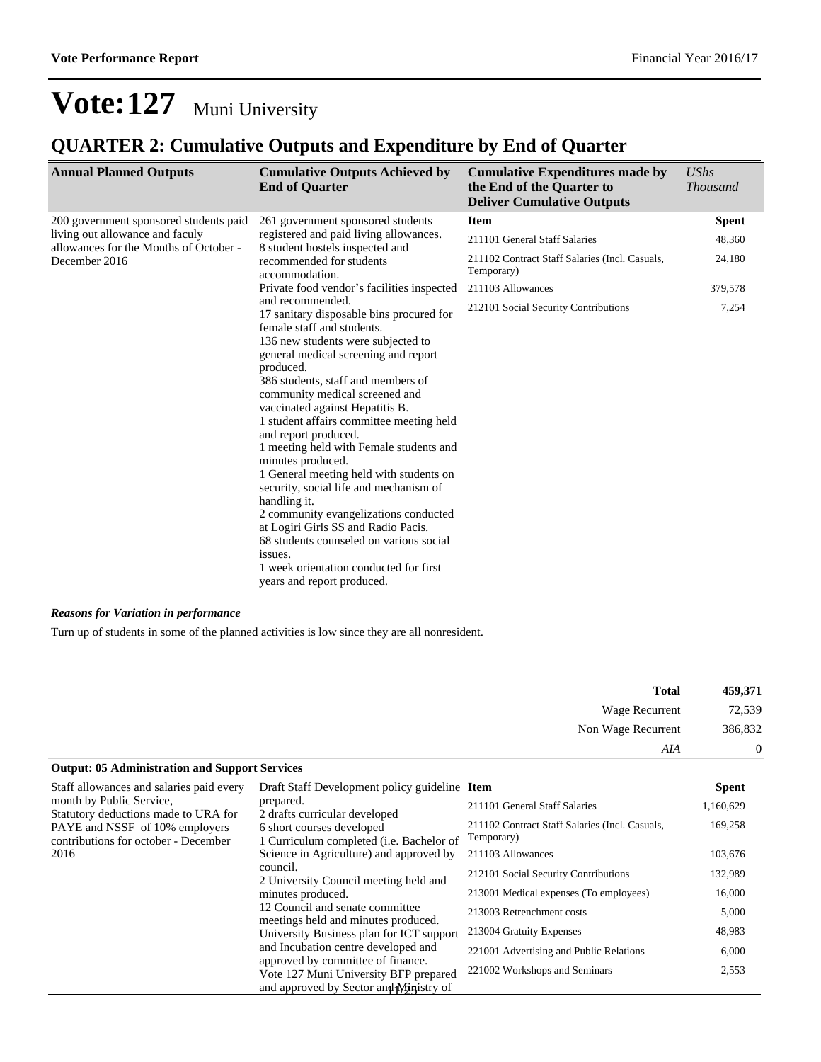## **QUARTER 2: Cumulative Outputs and Expenditure by End of Quarter**

| <b>Annual Planned Outputs</b>                                             | <b>Cumulative Outputs Achieved by</b><br><b>End of Quarter</b>                                                                                                                                                                                                                                                                                                                                                                                                                                                                                                                                                                                                                                                                                          | <b>Cumulative Expenditures made by</b><br>the End of the Quarter to<br><b>Deliver Cumulative Outputs</b> | <b>UShs</b><br><b>Thousand</b> |
|---------------------------------------------------------------------------|---------------------------------------------------------------------------------------------------------------------------------------------------------------------------------------------------------------------------------------------------------------------------------------------------------------------------------------------------------------------------------------------------------------------------------------------------------------------------------------------------------------------------------------------------------------------------------------------------------------------------------------------------------------------------------------------------------------------------------------------------------|----------------------------------------------------------------------------------------------------------|--------------------------------|
| 200 government sponsored students paid                                    | 261 government sponsored students                                                                                                                                                                                                                                                                                                                                                                                                                                                                                                                                                                                                                                                                                                                       | <b>Item</b>                                                                                              | <b>Spent</b>                   |
| living out allowance and faculy<br>allowances for the Months of October - | registered and paid living allowances.<br>8 student hostels inspected and<br>recommended for students<br>accommodation.                                                                                                                                                                                                                                                                                                                                                                                                                                                                                                                                                                                                                                 | 211101 General Staff Salaries                                                                            | 48,360                         |
| December 2016                                                             |                                                                                                                                                                                                                                                                                                                                                                                                                                                                                                                                                                                                                                                                                                                                                         | 211102 Contract Staff Salaries (Incl. Casuals,<br>Temporary)                                             | 24,180                         |
|                                                                           | Private food vendor's facilities inspected                                                                                                                                                                                                                                                                                                                                                                                                                                                                                                                                                                                                                                                                                                              | 211103 Allowances                                                                                        | 379,578                        |
|                                                                           | and recommended.<br>17 sanitary disposable bins procured for<br>female staff and students.<br>136 new students were subjected to<br>general medical screening and report<br>produced.<br>386 students, staff and members of<br>community medical screened and<br>vaccinated against Hepatitis B.<br>1 student affairs committee meeting held<br>and report produced.<br>1 meeting held with Female students and<br>minutes produced.<br>1 General meeting held with students on<br>security, social life and mechanism of<br>handling it.<br>2 community evangelizations conducted<br>at Logiri Girls SS and Radio Pacis.<br>68 students counseled on various social<br>issues.<br>1 week orientation conducted for first<br>years and report produced. | 212101 Social Security Contributions                                                                     | 7,254                          |

#### *Reasons for Variation in performance*

Turn up of students in some of the planned activities is low since they are all nonresident.

| 459,371        | <b>Total</b>       |
|----------------|--------------------|
| 72,539         | Wage Recurrent     |
| 386,832        | Non Wage Recurrent |
| $\overline{0}$ | AIA                |

#### **Output: 05 Administration and Support Services**

| Staff allowances and salaries paid every                               | Draft Staff Development policy guideline Item<br>prepared.<br>2 drafts curricular developed |                                                              | <b>Spent</b> |
|------------------------------------------------------------------------|---------------------------------------------------------------------------------------------|--------------------------------------------------------------|--------------|
| month by Public Service,<br>Statutory deductions made to URA for       |                                                                                             | 211101 General Staff Salaries                                | 1,160,629    |
| PAYE and NSSF of 10% employers<br>contributions for october - December | 6 short courses developed<br>1 Curriculum completed ( <i>i.e.</i> Bachelor of               | 211102 Contract Staff Salaries (Incl. Casuals,<br>Temporary) | 169,258      |
| 2016                                                                   | Science in Agriculture) and approved by                                                     | 211103 Allowances                                            | 103,676      |
|                                                                        | council.<br>2 University Council meeting held and<br>minutes produced.                      | 212101 Social Security Contributions                         | 132,989      |
|                                                                        |                                                                                             | 213001 Medical expenses (To employees)                       | 16,000       |
|                                                                        | 12 Council and senate committee<br>meetings held and minutes produced.                      | 213003 Retrenchment costs                                    | 5,000        |
|                                                                        | University Business plan for ICT support                                                    | 213004 Gratuity Expenses                                     | 48,983       |
|                                                                        | and Incubation centre developed and<br>approved by committee of finance.                    | 221001 Advertising and Public Relations                      | 6,000        |
|                                                                        | Vote 127 Muni University BFP prepared<br>and approved by Sector and Ministry of             | 221002 Workshops and Seminars                                | 2,553        |
|                                                                        |                                                                                             |                                                              |              |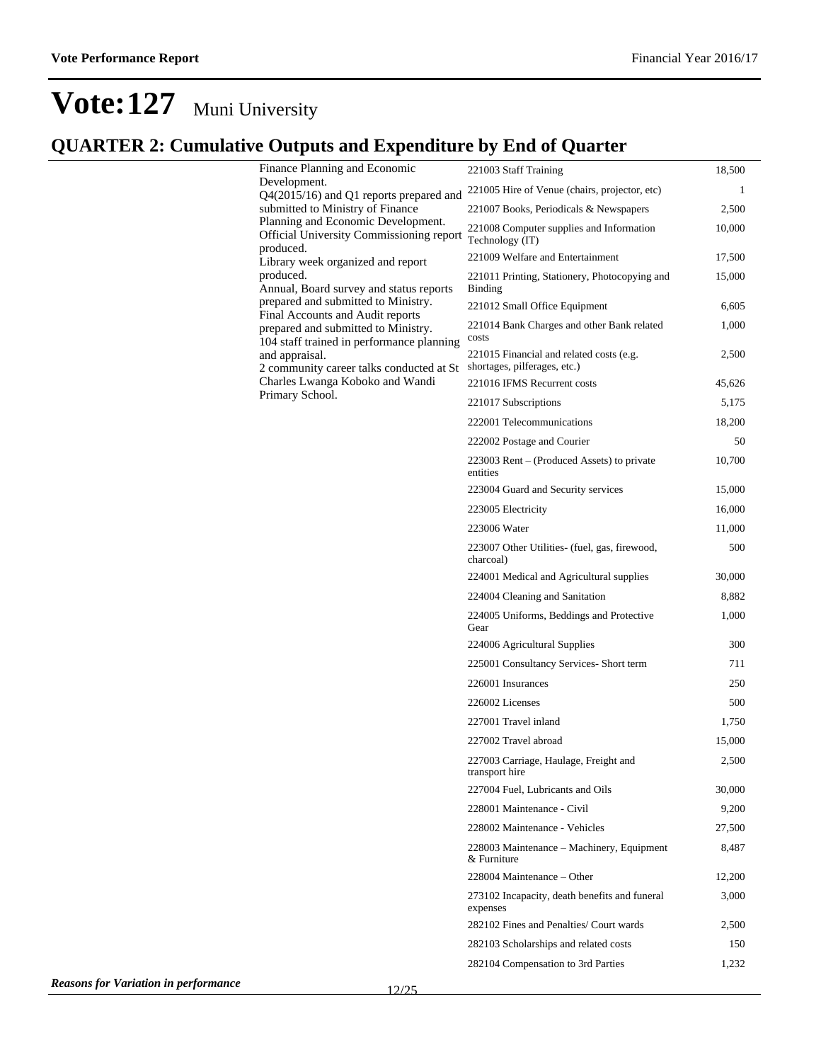## **QUARTER 2: Cumulative Outputs and Expenditure by End of Quarter**

| re outputs and Expenditure by Eind of Quarter                            |        |
|--------------------------------------------------------------------------|--------|
| 221003 Staff Training                                                    | 18,500 |
| 221005 Hire of Venue (chairs, projector, etc)                            | 1      |
| 221007 Books, Periodicals & Newspapers                                   | 2,500  |
| 221008 Computer supplies and Information<br>Technology (IT)              | 10,000 |
| 221009 Welfare and Entertainment                                         | 17,500 |
| 221011 Printing, Stationery, Photocopying and<br><b>Binding</b>          | 15,000 |
| 221012 Small Office Equipment                                            | 6,605  |
| 221014 Bank Charges and other Bank related<br>costs                      | 1,000  |
| 221015 Financial and related costs (e.g.<br>shortages, pilferages, etc.) | 2,500  |
| 221016 IFMS Recurrent costs                                              | 45,626 |
| 221017 Subscriptions                                                     | 5,175  |
| 222001 Telecommunications                                                | 18,200 |
| 222002 Postage and Courier                                               | 50     |
| 223003 Rent – (Produced Assets) to private<br>entities                   | 10,700 |
| 223004 Guard and Security services                                       | 15,000 |
| 223005 Electricity                                                       | 16,000 |
| 223006 Water                                                             | 11,000 |
| 223007 Other Utilities- (fuel, gas, firewood,<br>charcoal)               | 500    |
| 224001 Medical and Agricultural supplies                                 | 30,000 |
| 224004 Cleaning and Sanitation                                           | 8,882  |
| 224005 Uniforms, Beddings and Protective<br>Gear                         | 1,000  |
| 224006 Agricultural Supplies                                             | 300    |
| 225001 Consultancy Services- Short term                                  | 711    |
| 226001 Insurances                                                        | 250    |
| 226002 Licenses                                                          | 500    |
| 227001 Travel inland                                                     | 1,750  |
| 227002 Travel abroad                                                     | 15,000 |
| 227003 Carriage, Haulage, Freight and<br>transport hire                  | 2,500  |
| 227004 Fuel, Lubricants and Oils                                         | 30,000 |
| 228001 Maintenance - Civil                                               | 9,200  |
| 228002 Maintenance - Vehicles                                            | 27,500 |
| 228003 Maintenance – Machinery, Equipment<br>& Furniture                 | 8,487  |
| 228004 Maintenance - Other                                               | 12,200 |
| 273102 Incapacity, death benefits and funeral<br>expenses                | 3,000  |
| 282102 Fines and Penalties/ Court wards                                  | 2,500  |
| 282103 Scholarships and related costs                                    | 150    |
| 282104 Compensation to 3rd Parties                                       | 1,232  |
|                                                                          |        |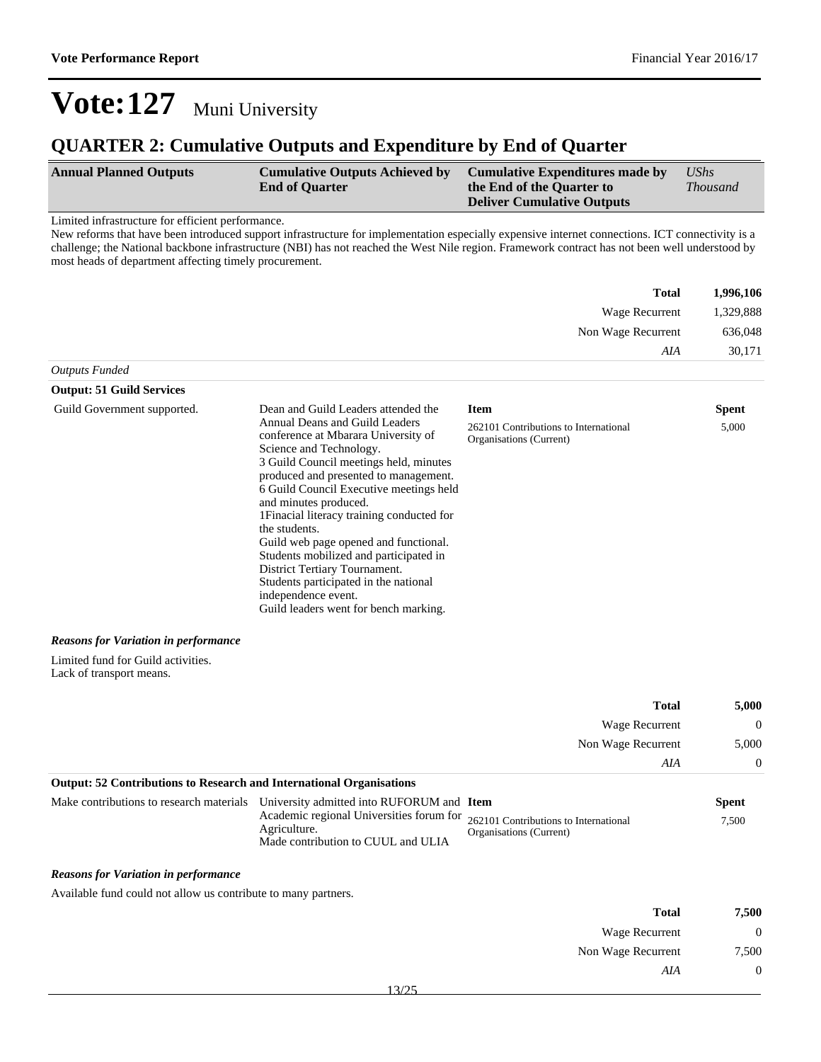### **QUARTER 2: Cumulative Outputs and Expenditure by End of Quarter**

| <b>Annual Planned Outputs</b> | <b>Cumulative Outputs Achieved by</b> | Cumulative Expenditures made by   | $\mathit{UShs}$ |
|-------------------------------|---------------------------------------|-----------------------------------|-----------------|
|                               | <b>End of Quarter</b>                 | the End of the Quarter to         | <i>Thousand</i> |
|                               |                                       | <b>Deliver Cumulative Outputs</b> |                 |

Limited infrastructure for efficient performance.

New reforms that have been introduced support infrastructure for implementation especially expensive internet connections. ICT connectivity is a challenge; the National backbone infrastructure (NBI) has not reached the West Nile region. Framework contract has not been well understood by most heads of department affecting timely procurement.

| <b>Total</b>       | 1,996,106 |
|--------------------|-----------|
| Wage Recurrent     | 1,329,888 |
| Non Wage Recurrent | 636,048   |
| AIA                | 30,171    |
| Outputs Funded     |           |

#### **Output: 51 Guild Services** Guild Government supported. Dean and Guild Leaders attended the Annual Deans and Guild Leaders conference at Mbarara University of Science and Technology. 3 Guild Council meetings held, minutes produced and presented to management. 6 Guild Council Executive meetings held and minutes produced. 1Finacial literacy training conducted for the students. Guild web page opened and functional. Students mobilized and participated in District Tertiary Tournament. Students participated in the national independence event. Guild leaders went for bench marking. **Item Spent** 262101 Contributions to International Organisations (Current) 5,000

#### *Reasons for Variation in performance*

Limited fund for Guild activities. Lack of transport means.

| 5,000    | <b>Total</b>          |
|----------|-----------------------|
| $\theta$ | <b>Wage Recurrent</b> |
| 5,000    | Non Wage Recurrent    |
| $\theta$ | AIA                   |
|          |                       |

#### **Output: 52 Contributions to Research and International Organisations**

| Make contributions to research materials University admitted into RUFORUM and Item                                                   |                         | Spent |
|--------------------------------------------------------------------------------------------------------------------------------------|-------------------------|-------|
| Academic regional Universities forum for 262101 Contributions to International<br>Agriculture.<br>Made contribution to CUUL and ULIA | Organisations (Current) | 7.500 |

#### *Reasons for Variation in performance*

Available fund could not allow us contribute to many partners.

| 7,500            | <b>Total</b>          |  |
|------------------|-----------------------|--|
| $\boldsymbol{0}$ | <b>Wage Recurrent</b> |  |
| 7,500            | Non Wage Recurrent    |  |
| $\overline{0}$   | AIA                   |  |
|                  |                       |  |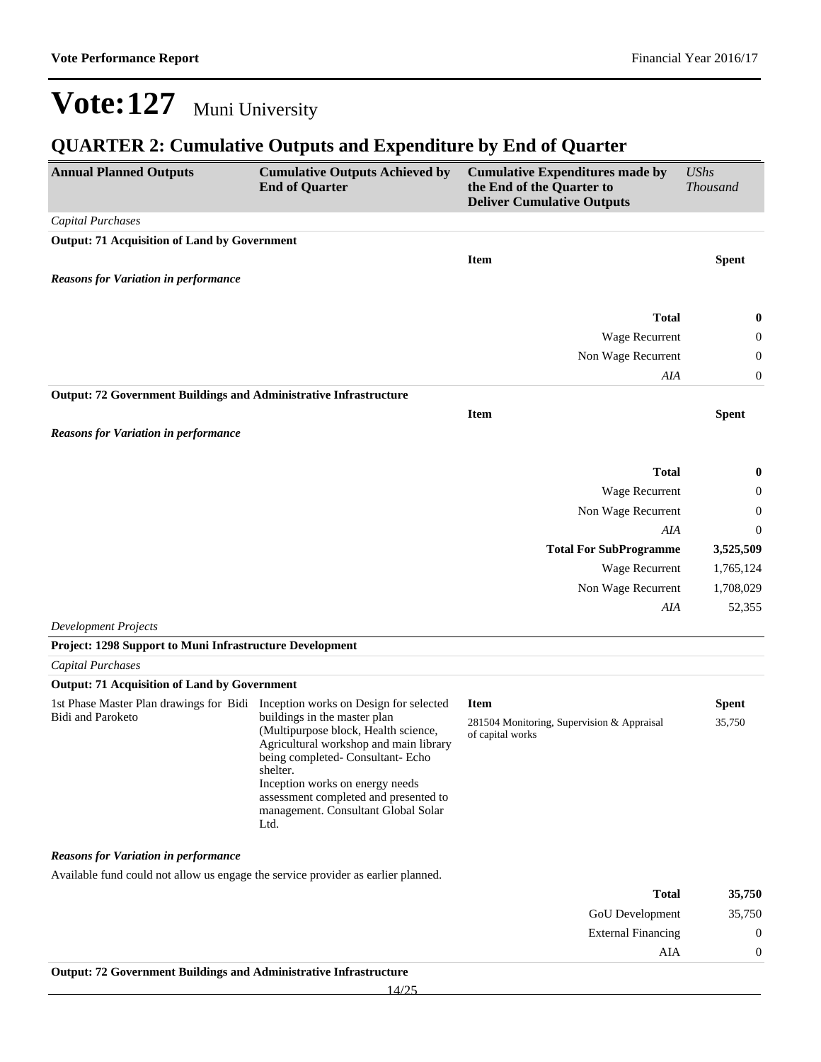## **QUARTER 2: Cumulative Outputs and Expenditure by End of Quarter**

| <b>Annual Planned Outputs</b>                                                                       | <b>Cumulative Outputs Achieved by</b><br><b>End of Quarter</b>                                                                                                                                                                                                                             | <b>Cumulative Expenditures made by</b><br>the End of the Quarter to<br><b>Deliver Cumulative Outputs</b> | <b>UShs</b><br><b>Thousand</b> |
|-----------------------------------------------------------------------------------------------------|--------------------------------------------------------------------------------------------------------------------------------------------------------------------------------------------------------------------------------------------------------------------------------------------|----------------------------------------------------------------------------------------------------------|--------------------------------|
| Capital Purchases                                                                                   |                                                                                                                                                                                                                                                                                            |                                                                                                          |                                |
| <b>Output: 71 Acquisition of Land by Government</b>                                                 |                                                                                                                                                                                                                                                                                            | <b>Item</b>                                                                                              | <b>Spent</b>                   |
| <b>Reasons for Variation in performance</b>                                                         |                                                                                                                                                                                                                                                                                            |                                                                                                          |                                |
|                                                                                                     |                                                                                                                                                                                                                                                                                            | <b>Total</b>                                                                                             | $\bf{0}$                       |
|                                                                                                     |                                                                                                                                                                                                                                                                                            | Wage Recurrent                                                                                           | 0                              |
|                                                                                                     |                                                                                                                                                                                                                                                                                            | Non Wage Recurrent                                                                                       | 0                              |
|                                                                                                     |                                                                                                                                                                                                                                                                                            | AIA                                                                                                      | 0                              |
| <b>Output: 72 Government Buildings and Administrative Infrastructure</b>                            |                                                                                                                                                                                                                                                                                            |                                                                                                          |                                |
|                                                                                                     |                                                                                                                                                                                                                                                                                            | <b>Item</b>                                                                                              | <b>Spent</b>                   |
| <b>Reasons for Variation in performance</b>                                                         |                                                                                                                                                                                                                                                                                            |                                                                                                          |                                |
|                                                                                                     |                                                                                                                                                                                                                                                                                            | <b>Total</b>                                                                                             | 0                              |
|                                                                                                     |                                                                                                                                                                                                                                                                                            | Wage Recurrent                                                                                           | 0                              |
|                                                                                                     |                                                                                                                                                                                                                                                                                            | Non Wage Recurrent                                                                                       | 0                              |
|                                                                                                     |                                                                                                                                                                                                                                                                                            | AIA                                                                                                      | 0                              |
|                                                                                                     |                                                                                                                                                                                                                                                                                            | <b>Total For SubProgramme</b>                                                                            | 3,525,509                      |
|                                                                                                     |                                                                                                                                                                                                                                                                                            | Wage Recurrent                                                                                           | 1,765,124                      |
|                                                                                                     |                                                                                                                                                                                                                                                                                            | Non Wage Recurrent                                                                                       | 1,708,029                      |
|                                                                                                     |                                                                                                                                                                                                                                                                                            | AIA                                                                                                      | 52,355                         |
| <b>Development Projects</b>                                                                         |                                                                                                                                                                                                                                                                                            |                                                                                                          |                                |
| Project: 1298 Support to Muni Infrastructure Development                                            |                                                                                                                                                                                                                                                                                            |                                                                                                          |                                |
| Capital Purchases                                                                                   |                                                                                                                                                                                                                                                                                            |                                                                                                          |                                |
| <b>Output: 71 Acquisition of Land by Government</b>                                                 |                                                                                                                                                                                                                                                                                            |                                                                                                          |                                |
| 1st Phase Master Plan drawings for Bidi Inception works on Design for selected<br>Bidi and Paroketo | buildings in the master plan<br>(Multipurpose block, Health science,<br>Agricultural workshop and main library<br>being completed- Consultant- Echo<br>shelter.<br>Inception works on energy needs<br>assessment completed and presented to<br>management. Consultant Global Solar<br>Ltd. | <b>Item</b><br>281504 Monitoring, Supervision & Appraisal<br>of capital works                            | <b>Spent</b><br>35,750         |
| <b>Reasons for Variation in performance</b>                                                         |                                                                                                                                                                                                                                                                                            |                                                                                                          |                                |
| Available fund could not allow us engage the service provider as earlier planned.                   |                                                                                                                                                                                                                                                                                            |                                                                                                          |                                |
|                                                                                                     |                                                                                                                                                                                                                                                                                            | <b>Total</b>                                                                                             | 35,750                         |
|                                                                                                     |                                                                                                                                                                                                                                                                                            | GoU Development                                                                                          | 35,750                         |
|                                                                                                     |                                                                                                                                                                                                                                                                                            | <b>External Financing</b>                                                                                | $\boldsymbol{0}$               |
|                                                                                                     |                                                                                                                                                                                                                                                                                            | AIA                                                                                                      | $\boldsymbol{0}$               |
| Output: 72 Government Buildings and Administrative Infrastructure                                   | 14/25                                                                                                                                                                                                                                                                                      |                                                                                                          |                                |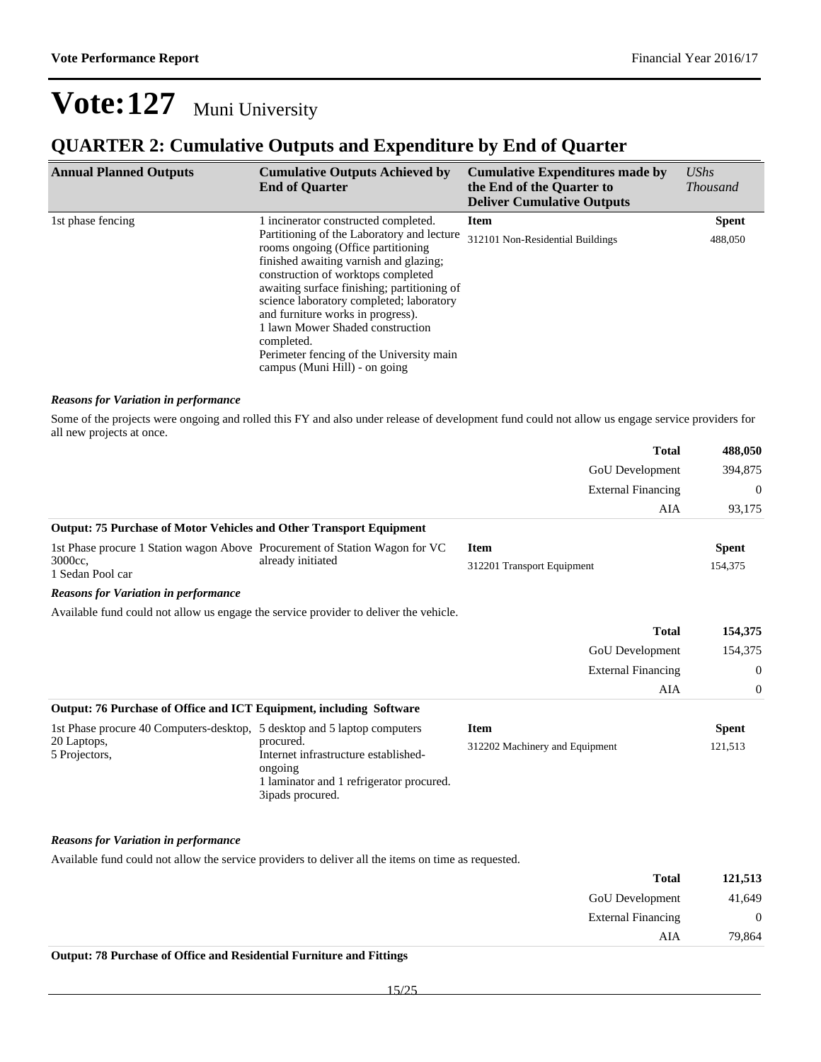### **QUARTER 2: Cumulative Outputs and Expenditure by End of Quarter**

| <b>Annual Planned Outputs</b> | <b>Cumulative Outputs Achieved by</b><br><b>End of Quarter</b>                                                                                                                                                                                                                                                                                                                                                                  | <b>Cumulative Expenditures made by</b><br>the End of the Quarter to<br><b>Deliver Cumulative Outputs</b> | $\mathit{UShs}$<br><i>Thousand</i> |
|-------------------------------|---------------------------------------------------------------------------------------------------------------------------------------------------------------------------------------------------------------------------------------------------------------------------------------------------------------------------------------------------------------------------------------------------------------------------------|----------------------------------------------------------------------------------------------------------|------------------------------------|
| 1st phase fencing             | 1 incinerator constructed completed.                                                                                                                                                                                                                                                                                                                                                                                            | <b>Item</b>                                                                                              | <b>Spent</b>                       |
|                               | Partitioning of the Laboratory and lecture<br>rooms ongoing (Office partitioning<br>finished awaiting varnish and glazing;<br>construction of worktops completed<br>awaiting surface finishing; partitioning of<br>science laboratory completed; laboratory<br>and furniture works in progress).<br>1 lawn Mower Shaded construction<br>completed.<br>Perimeter fencing of the University main<br>campus (Muni Hill) - on going | 312101 Non-Residential Buildings                                                                         | 488,050                            |

#### *Reasons for Variation in performance*

Some of the projects were ongoing and rolled this FY and also under release of development fund could not allow us engage service providers for all new projects at once.

|                                                                                       |                                                                                                                              | <b>Total</b>                   | 488,050        |
|---------------------------------------------------------------------------------------|------------------------------------------------------------------------------------------------------------------------------|--------------------------------|----------------|
|                                                                                       |                                                                                                                              | GoU Development                | 394,875        |
|                                                                                       |                                                                                                                              | <b>External Financing</b>      | $\overline{0}$ |
|                                                                                       |                                                                                                                              | AIA                            | 93,175         |
| <b>Output: 75 Purchase of Motor Vehicles and Other Transport Equipment</b>            |                                                                                                                              |                                |                |
| 1st Phase procure 1 Station wagon Above Procurement of Station Wagon for VC           |                                                                                                                              | <b>Item</b>                    | <b>Spent</b>   |
| 3000cc.<br>1 Sedan Pool car                                                           | already initiated                                                                                                            | 312201 Transport Equipment     | 154,375        |
| <b>Reasons for Variation in performance</b>                                           |                                                                                                                              |                                |                |
| Available fund could not allow us engage the service provider to deliver the vehicle. |                                                                                                                              |                                |                |
|                                                                                       |                                                                                                                              | <b>Total</b>                   | 154,375        |
|                                                                                       |                                                                                                                              | <b>GoU</b> Development         | 154,375        |
|                                                                                       |                                                                                                                              | <b>External Financing</b>      | $\overline{0}$ |
|                                                                                       |                                                                                                                              | AIA                            | $\overline{0}$ |
| Output: 76 Purchase of Office and ICT Equipment, including Software                   |                                                                                                                              |                                |                |
| 1st Phase procure 40 Computers-desktop, 5 desktop and 5 laptop computers              |                                                                                                                              | <b>Item</b>                    | <b>Spent</b>   |
| 20 Laptops,<br>5 Projectors,                                                          | procured.<br>Internet infrastructure established-<br>ongoing<br>1 laminator and 1 refrigerator procured.<br>3ipads procured. | 312202 Machinery and Equipment | 121,513        |
|                                                                                       |                                                                                                                              |                                |                |

#### *Reasons for Variation in performance*

Available fund could not allow the service providers to deliver all the items on time as requested.

| 121,513        | <b>Total</b>              |
|----------------|---------------------------|
| 41,649         | GoU Development           |
| $\overline{0}$ | <b>External Financing</b> |
| 79,864         | AIA                       |
|                |                           |

#### **Output: 78 Purchase of Office and Residential Furniture and Fittings**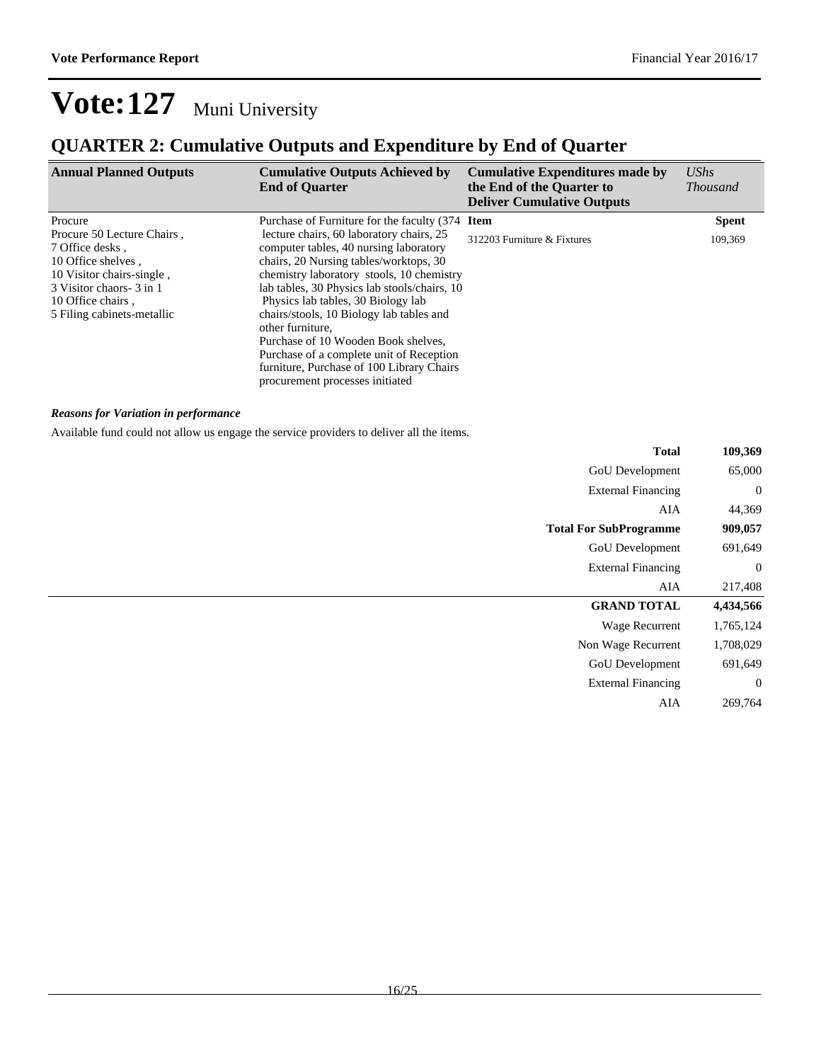## **QUARTER 2: Cumulative Outputs and Expenditure by End of Quarter**

| <b>Annual Planned Outputs</b>                                                                                                                                                    | <b>Cumulative Outputs Achieved by</b><br><b>End of Quarter</b>                                                                                                                                                                                                                                                                                                                                                                                                                                     | <b>Cumulative Expenditures made by</b><br>the End of the Quarter to<br><b>Deliver Cumulative Outputs</b> | <b>UShs</b><br><i>Thousand</i> |
|----------------------------------------------------------------------------------------------------------------------------------------------------------------------------------|----------------------------------------------------------------------------------------------------------------------------------------------------------------------------------------------------------------------------------------------------------------------------------------------------------------------------------------------------------------------------------------------------------------------------------------------------------------------------------------------------|----------------------------------------------------------------------------------------------------------|--------------------------------|
| Procure                                                                                                                                                                          | Purchase of Furniture for the faculty (374 Item                                                                                                                                                                                                                                                                                                                                                                                                                                                    |                                                                                                          | <b>Spent</b>                   |
| Procure 50 Lecture Chairs,<br>7 Office desks,<br>10 Office shelves,<br>10 Visitor chairs-single,<br>3 Visitor chaors - 3 in 1<br>10 Office chairs.<br>5 Filing cabinets-metallic | lecture chairs, 60 laboratory chairs, 25<br>computer tables, 40 nursing laboratory<br>chairs, 20 Nursing tables/worktops, 30<br>chemistry laboratory stools, 10 chemistry<br>lab tables, 30 Physics lab stools/chairs, 10<br>Physics lab tables, 30 Biology lab<br>chairs/stools, 10 Biology lab tables and<br>other furniture.<br>Purchase of 10 Wooden Book shelves,<br>Purchase of a complete unit of Reception<br>furniture, Purchase of 100 Library Chairs<br>procurement processes initiated | 312203 Furniture & Fixtures                                                                              | 109,369                        |

#### *Reasons for Variation in performance*

Available fund could not allow us engage the service providers to deliver all the items.

| 109,369        | <b>Total</b>                  |
|----------------|-------------------------------|
| 65,000         | GoU Development               |
| $\overline{0}$ | <b>External Financing</b>     |
| 44,369         | AIA                           |
| 909,057        | <b>Total For SubProgramme</b> |
| 691,649        | <b>GoU</b> Development        |
| $\overline{0}$ | <b>External Financing</b>     |
| 217,408        | AIA                           |
| 4,434,566      | <b>GRAND TOTAL</b>            |
| 1,765,124      | Wage Recurrent                |
| 1,708,029      | Non Wage Recurrent            |
| 691,649        | GoU Development               |
| $\overline{0}$ | <b>External Financing</b>     |
| 269,764        | AIA                           |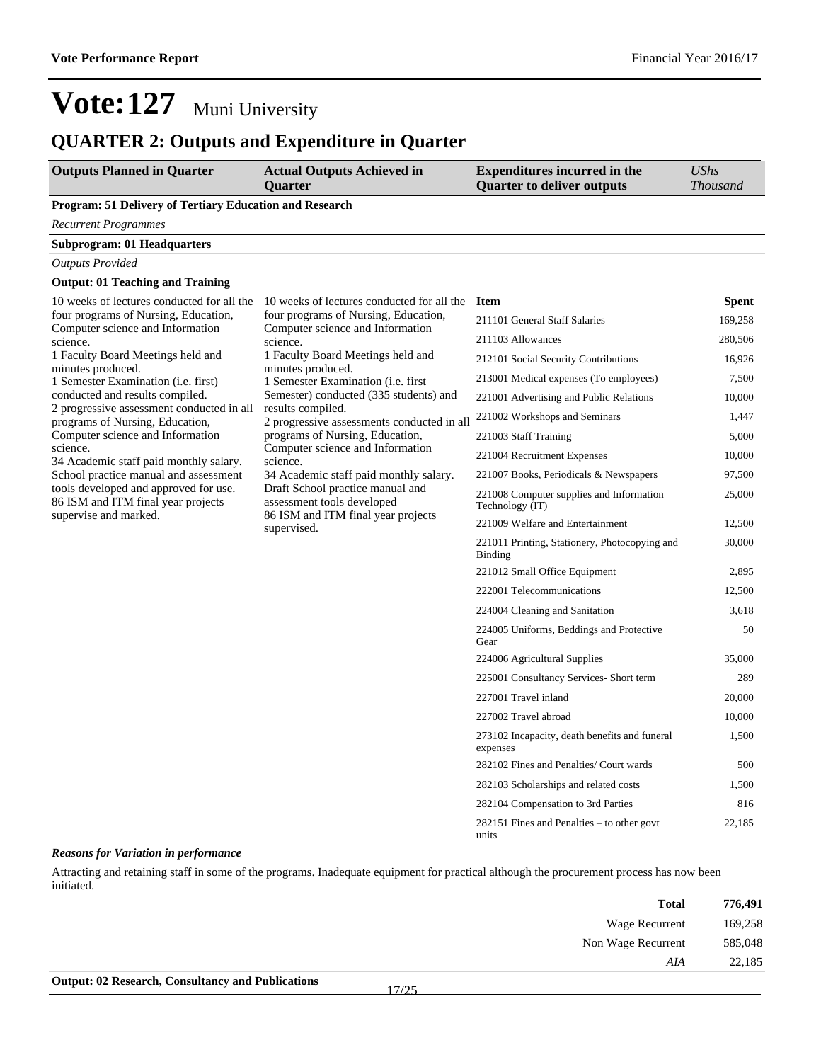### **QUARTER 2: Outputs and Expenditure in Quarter**

| <b>Outputs Planned in Quarter</b>                                            | <b>Actual Outputs Achieved in</b><br><b>Ouarter</b>                                                                                                      | <b>Expenditures incurred in the</b><br><b>Quarter to deliver outputs</b> | <b>UShs</b><br><i>Thousand</i> |
|------------------------------------------------------------------------------|----------------------------------------------------------------------------------------------------------------------------------------------------------|--------------------------------------------------------------------------|--------------------------------|
| <b>Program: 51 Delivery of Tertiary Education and Research</b>               |                                                                                                                                                          |                                                                          |                                |
| Recurrent Programmes                                                         |                                                                                                                                                          |                                                                          |                                |
| <b>Subprogram: 01 Headquarters</b>                                           |                                                                                                                                                          |                                                                          |                                |
| <b>Outputs Provided</b>                                                      |                                                                                                                                                          |                                                                          |                                |
| <b>Output: 01 Teaching and Training</b>                                      |                                                                                                                                                          |                                                                          |                                |
| 10 weeks of lectures conducted for all the                                   | 10 weeks of lectures conducted for all the                                                                                                               | <b>Item</b>                                                              | <b>Spent</b>                   |
| four programs of Nursing, Education,<br>Computer science and Information     | four programs of Nursing, Education,                                                                                                                     | 211101 General Staff Salaries                                            | 169,258                        |
| science.                                                                     | Computer science and Information<br>science.                                                                                                             | 211103 Allowances                                                        | 280,506                        |
| 1 Faculty Board Meetings held and                                            | 1 Faculty Board Meetings held and                                                                                                                        | 212101 Social Security Contributions                                     | 16,926                         |
| minutes produced.<br>1 Semester Examination (i.e. first)                     | minutes produced.<br>1 Semester Examination ( <i>i.e.</i> first                                                                                          | 213001 Medical expenses (To employees)                                   | 7,500                          |
| conducted and results compiled.                                              | Semester) conducted (335 students) and                                                                                                                   | 221001 Advertising and Public Relations                                  | 10,000                         |
| 2 progressive assessment conducted in all<br>programs of Nursing, Education, | results compiled.<br>2 progressive assessments conducted in all                                                                                          | 221002 Workshops and Seminars                                            | 1,447                          |
| Computer science and Information                                             | programs of Nursing, Education,                                                                                                                          | 221003 Staff Training                                                    | 5,000                          |
| science.<br>34 Academic staff paid monthly salary.                           | Computer science and Information<br>science.<br>34 Academic staff paid monthly salary.<br>Draft School practice manual and<br>assessment tools developed | 221004 Recruitment Expenses                                              | 10,000                         |
| School practice manual and assessment                                        |                                                                                                                                                          | 221007 Books, Periodicals & Newspapers                                   | 97,500                         |
| tools developed and approved for use.<br>86 ISM and ITM final year projects  |                                                                                                                                                          | 221008 Computer supplies and Information<br>Technology (IT)              | 25,000                         |
| supervise and marked.                                                        | 86 ISM and ITM final year projects<br>supervised.                                                                                                        | 221009 Welfare and Entertainment                                         | 12,500                         |
|                                                                              |                                                                                                                                                          | 221011 Printing, Stationery, Photocopying and<br>Binding                 | 30,000                         |
|                                                                              |                                                                                                                                                          | 221012 Small Office Equipment                                            | 2,895                          |
|                                                                              |                                                                                                                                                          | 222001 Telecommunications                                                | 12,500                         |
|                                                                              |                                                                                                                                                          | 224004 Cleaning and Sanitation                                           | 3,618                          |
|                                                                              |                                                                                                                                                          | 224005 Uniforms, Beddings and Protective<br>Gear                         | 50                             |
|                                                                              |                                                                                                                                                          | 224006 Agricultural Supplies                                             | 35,000                         |
|                                                                              |                                                                                                                                                          | 225001 Consultancy Services- Short term                                  | 289                            |
|                                                                              |                                                                                                                                                          | 227001 Travel inland                                                     | 20,000                         |
|                                                                              |                                                                                                                                                          | 227002 Travel abroad                                                     | 10,000                         |
|                                                                              |                                                                                                                                                          | 273102 Incapacity, death benefits and funeral<br>expenses                | 1,500                          |
|                                                                              |                                                                                                                                                          | 282102 Fines and Penalties/ Court wards                                  | 500                            |
|                                                                              |                                                                                                                                                          | 282103 Scholarships and related costs                                    | 1,500                          |
|                                                                              |                                                                                                                                                          | 282104 Compensation to 3rd Parties                                       | 816                            |
|                                                                              |                                                                                                                                                          | $282151$ Fines and Penalties – to other govt<br>units                    | 22,185                         |

#### *Reasons for Variation in performance*

Attracting and retaining staff in some of the programs. Inadequate equipment for practical although the procurement process has now been initiated.

| 776,491 | <b>Total</b>       |
|---------|--------------------|
| 169,258 | Wage Recurrent     |
| 585,048 | Non Wage Recurrent |
| 22,185  | AIA                |
|         |                    |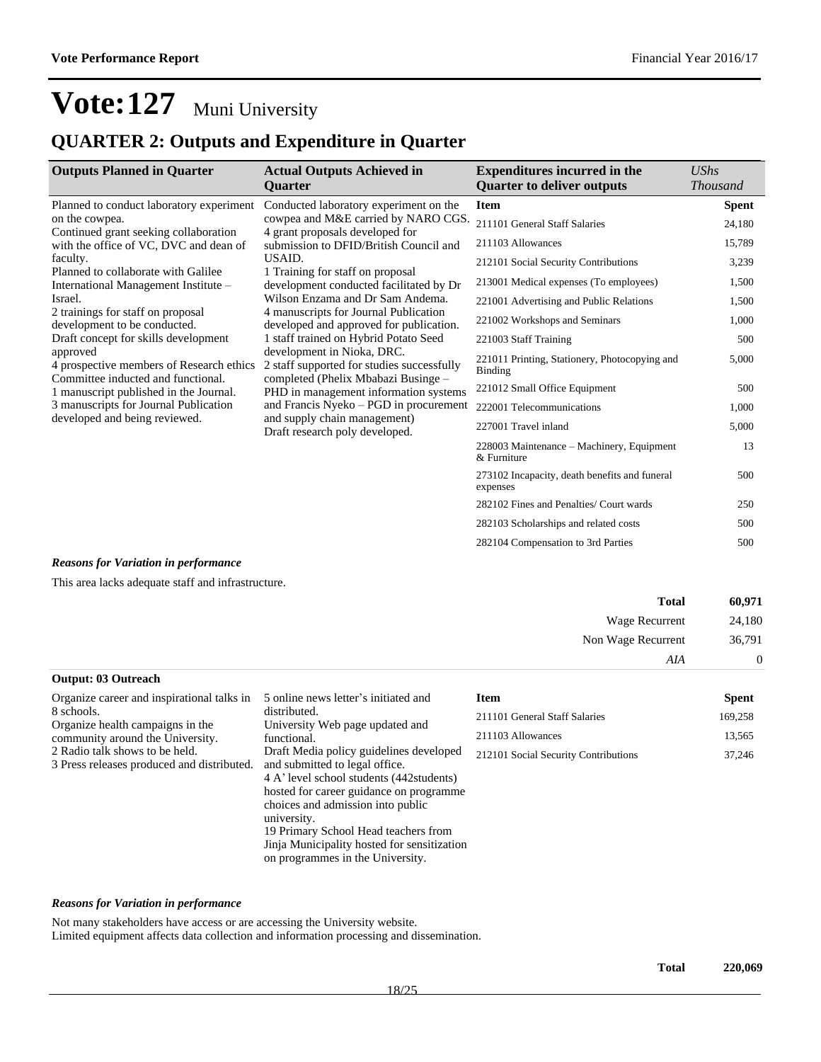### **QUARTER 2: Outputs and Expenditure in Quarter**

| <b>Outputs Planned in Quarter</b>                                                          | <b>Actual Outputs Achieved in</b><br><b>Ouarter</b>                                                                                                                                                   | <b>Expenditures incurred in the</b><br><b>Quarter to deliver outputs</b> | <b>UShs</b><br><b>Thousand</b> |
|--------------------------------------------------------------------------------------------|-------------------------------------------------------------------------------------------------------------------------------------------------------------------------------------------------------|--------------------------------------------------------------------------|--------------------------------|
|                                                                                            |                                                                                                                                                                                                       |                                                                          |                                |
| Planned to conduct laboratory experiment                                                   | Conducted laboratory experiment on the                                                                                                                                                                | <b>Item</b>                                                              | <b>Spent</b>                   |
| on the cowpea.                                                                             | cowpea and M&E carried by NARO CGS.<br>4 grant proposals developed for<br>submission to DFID/British Council and                                                                                      | 211101 General Staff Salaries                                            | 24,180                         |
| Continued grant seeking collaboration<br>with the office of VC, DVC and dean of            |                                                                                                                                                                                                       | 211103 Allowances                                                        | 15,789                         |
| faculty.                                                                                   | USAID.                                                                                                                                                                                                | 212101 Social Security Contributions                                     | 3,239                          |
| Planned to collaborate with Galilee                                                        | 1 Training for staff on proposal                                                                                                                                                                      | 213001 Medical expenses (To employees)                                   | 1,500                          |
| International Management Institute –                                                       | development conducted facilitated by Dr                                                                                                                                                               |                                                                          |                                |
| Israel.                                                                                    | Wilson Enzama and Dr Sam Andema.                                                                                                                                                                      | 221001 Advertising and Public Relations                                  | 1,500                          |
| 2 trainings for staff on proposal<br>development to be conducted.                          | 4 manuscripts for Journal Publication<br>developed and approved for publication.<br>1 staff trained on Hybrid Potato Seed<br>development in Nioka, DRC.<br>2 staff supported for studies successfully | 221002 Workshops and Seminars                                            | 1,000                          |
| Draft concept for skills development                                                       |                                                                                                                                                                                                       | 221003 Staff Training                                                    | 500                            |
| approved<br>4 prospective members of Research ethics<br>Committee inducted and functional. |                                                                                                                                                                                                       | 221011 Printing, Stationery, Photocopying and<br>Binding                 | 5,000                          |
| 1 manuscript published in the Journal.                                                     | completed (Phelix Mbabazi Businge -<br>PHD in management information systems                                                                                                                          | 221012 Small Office Equipment                                            | 500                            |
| 3 manuscripts for Journal Publication                                                      | and Francis Nyeko - PGD in procurement<br>and supply chain management)<br>Draft research poly developed.                                                                                              | 222001 Telecommunications                                                | 1,000                          |
| developed and being reviewed.                                                              |                                                                                                                                                                                                       | 227001 Travel inland                                                     | 5,000                          |
|                                                                                            |                                                                                                                                                                                                       | 228003 Maintenance – Machinery, Equipment<br>& Furniture                 | 13                             |
|                                                                                            |                                                                                                                                                                                                       | 273102 Incapacity, death benefits and funeral<br>expenses                | 500                            |
|                                                                                            |                                                                                                                                                                                                       | 282102 Fines and Penalties/ Court wards                                  | 250                            |
|                                                                                            |                                                                                                                                                                                                       | 282103 Scholarships and related costs                                    | 500                            |
|                                                                                            |                                                                                                                                                                                                       | 282104 Compensation to 3rd Parties                                       | 500                            |

#### *Reasons for Variation in performance*

This area lacks adequate staff and infrastructure.

| <b>Total</b>               | 60,971   |
|----------------------------|----------|
| Wage Recurrent             | 24,180   |
| Non Wage Recurrent         | 36,791   |
| AIA                        | $\theta$ |
| <b>Output: 03 Outreach</b> |          |

| 5 online news letter's initiated and                                                                                                                                                                                  | <b>Item</b>                                                                                                 | <b>Spent</b> |
|-----------------------------------------------------------------------------------------------------------------------------------------------------------------------------------------------------------------------|-------------------------------------------------------------------------------------------------------------|--------------|
| distributed.                                                                                                                                                                                                          | 211101 General Staff Salaries                                                                               | 169,258      |
| functional.                                                                                                                                                                                                           | 211103 Allowances                                                                                           | 13,565       |
| Draft Media policy guidelines developed<br>and submitted to legal office.<br>4 A' level school students (442 students)<br>hosted for career guidance on programme<br>choices and admission into public<br>university. | 212101 Social Security Contributions                                                                        | 37,246       |
| Jinja Municipality hosted for sensitization                                                                                                                                                                           |                                                                                                             |              |
|                                                                                                                                                                                                                       | University Web page updated and<br>19 Primary School Head teachers from<br>on programmes in the University. |              |

#### *Reasons for Variation in performance*

Not many stakeholders have access or are accessing the University website.

Limited equipment affects data collection and information processing and dissemination.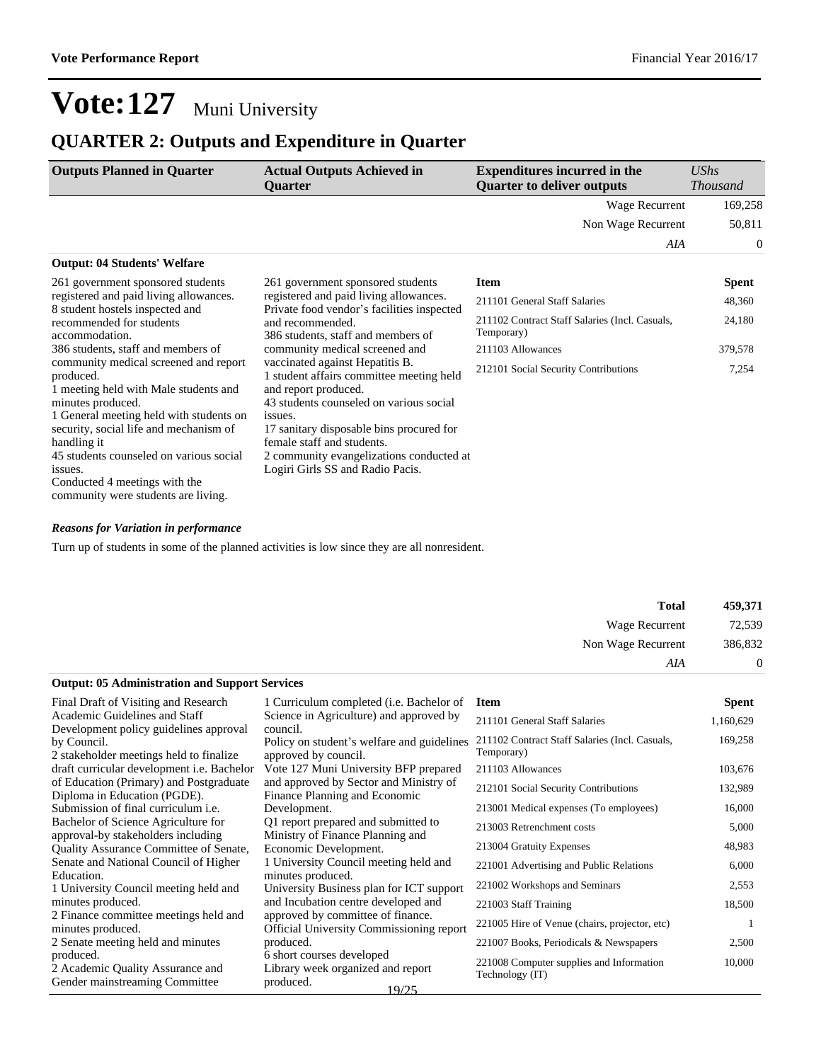### **QUARTER 2: Outputs and Expenditure in Quarter**

| <b>Outputs Planned in Quarter</b>                                                                                                                                                                                                                                                                                                                  | <b>Actual Outputs Achieved in</b><br>Quarter                                                                                                                                                                                                                                                                        | <b>Expenditures incurred in the</b><br><b>Quarter to deliver outputs</b> | UShs<br><b>Thousand</b> |
|----------------------------------------------------------------------------------------------------------------------------------------------------------------------------------------------------------------------------------------------------------------------------------------------------------------------------------------------------|---------------------------------------------------------------------------------------------------------------------------------------------------------------------------------------------------------------------------------------------------------------------------------------------------------------------|--------------------------------------------------------------------------|-------------------------|
|                                                                                                                                                                                                                                                                                                                                                    |                                                                                                                                                                                                                                                                                                                     | Wage Recurrent                                                           | 169,258                 |
|                                                                                                                                                                                                                                                                                                                                                    |                                                                                                                                                                                                                                                                                                                     | Non Wage Recurrent                                                       | 50,811                  |
|                                                                                                                                                                                                                                                                                                                                                    |                                                                                                                                                                                                                                                                                                                     | AIA                                                                      | $\theta$                |
| <b>Output: 04 Students' Welfare</b>                                                                                                                                                                                                                                                                                                                |                                                                                                                                                                                                                                                                                                                     |                                                                          |                         |
| 261 government sponsored students                                                                                                                                                                                                                                                                                                                  | 261 government sponsored students                                                                                                                                                                                                                                                                                   | <b>Item</b>                                                              | <b>Spent</b>            |
| registered and paid living allowances.                                                                                                                                                                                                                                                                                                             | registered and paid living allowances.                                                                                                                                                                                                                                                                              | 211101 General Staff Salaries                                            | 48,360                  |
| 8 student hostels inspected and<br>Private food vendor's facilities inspected<br>recommended for students<br>and recommended.<br>accommodation.<br>386 students, staff and members of                                                                                                                                                              | 211102 Contract Staff Salaries (Incl. Casuals,<br>Temporary)                                                                                                                                                                                                                                                        | 24,180                                                                   |                         |
| 386 students, staff and members of                                                                                                                                                                                                                                                                                                                 | community medical screened and                                                                                                                                                                                                                                                                                      | 211103 Allowances                                                        | 379,578                 |
| community medical screened and report<br>produced.<br>1 meeting held with Male students and<br>minutes produced.<br>1 General meeting held with students on<br>security, social life and mechanism of<br>handling it<br>45 students counseled on various social<br>issues.<br>Conducted 4 meetings with the<br>community were students are living. | vaccinated against Hepatitis B.<br>1 student affairs committee meeting held<br>and report produced.<br>43 students counseled on various social<br>issues.<br>17 sanitary disposable bins procured for<br>female staff and students.<br>2 community evangelizations conducted at<br>Logiri Girls SS and Radio Pacis. | 212101 Social Security Contributions                                     | 7,254                   |

#### *Reasons for Variation in performance*

Turn up of students in some of the planned activities is low since they are all nonresident.

| <b>Total</b>       |
|--------------------|
| Wage Recurrent     |
| Non Wage Recurrent |
| AIA                |
|                    |

#### **Output: 05 Administration and Support Services**

| Final Draft of Visiting and Research                                            | 1 Curriculum completed ( <i>i.e.</i> Bachelor of                                     | <b>Item</b>                                                  | <b>Spent</b> |
|---------------------------------------------------------------------------------|--------------------------------------------------------------------------------------|--------------------------------------------------------------|--------------|
| Academic Guidelines and Staff<br>Development policy guidelines approval         | Science in Agriculture) and approved by<br>council.                                  | 211101 General Staff Salaries                                | 1,160,629    |
| by Council.<br>2 stakeholder meetings held to finalize                          | Policy on student's welfare and guidelines<br>approved by council.                   | 211102 Contract Staff Salaries (Incl. Casuals,<br>Temporary) | 169,258      |
| draft curricular development <i>i.e.</i> Bachelor                               | Vote 127 Muni University BFP prepared                                                | 211103 Allowances                                            | 103,676      |
| of Education (Primary) and Postgraduate<br>Diploma in Education (PGDE).         | and approved by Sector and Ministry of<br>Finance Planning and Economic              | 212101 Social Security Contributions                         | 132,989      |
| Submission of final curriculum <i>i.e.</i>                                      | Development.                                                                         | 213001 Medical expenses (To employees)                       | 16,000       |
| Bachelor of Science Agriculture for<br>approval-by stakeholders including       | Q1 report prepared and submitted to<br>Ministry of Finance Planning and              | 213003 Retrenchment costs                                    | 5,000        |
| <b>Quality Assurance Committee of Senate,</b>                                   | Economic Development.                                                                | 213004 Gratuity Expenses                                     | 48,983       |
| Senate and National Council of Higher<br>Education.                             | 1 University Council meeting held and<br>minutes produced.                           | 221001 Advertising and Public Relations                      | 6,000        |
| 1 University Council meeting held and                                           | University Business plan for ICT support                                             | 221002 Workshops and Seminars                                | 2,553        |
| minutes produced.                                                               | and Incubation centre developed and                                                  | 221003 Staff Training                                        | 18,500       |
| 2 Finance committee meetings held and<br>minutes produced.                      | approved by committee of finance.<br><b>Official University Commissioning report</b> | 221005 Hire of Venue (chairs, projector, etc)                |              |
| 2 Senate meeting held and minutes                                               | produced.                                                                            | 221007 Books, Periodicals & Newspapers                       | 2,500        |
| produced.<br>2 Academic Quality Assurance and<br>Gender mainstreaming Committee | 6 short courses developed<br>Library week organized and report<br>produced.<br>19/25 | 221008 Computer supplies and Information<br>Technology (IT)  | 10,000       |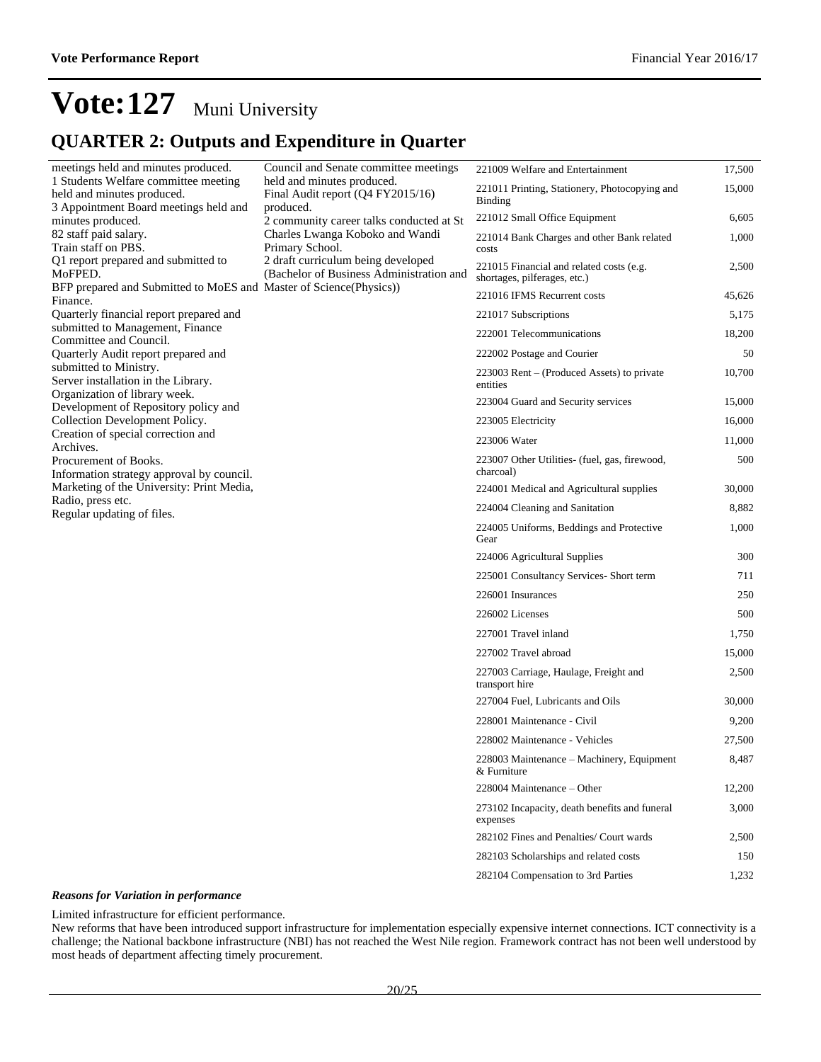### **QUARTER 2: Outputs and Expenditure in Quarter**

| meetings held and minutes produced.                                             | Council and Senate committee meetings                                          | 221009 Welfare and Entertainment                                         | 17,500 |
|---------------------------------------------------------------------------------|--------------------------------------------------------------------------------|--------------------------------------------------------------------------|--------|
| 1 Students Welfare committee meeting<br>held and minutes produced.              | held and minutes produced.<br>Final Audit report (Q4 FY2015/16)                | 221011 Printing, Stationery, Photocopying and                            | 15,000 |
| 3 Appointment Board meetings held and<br>minutes produced.                      | produced.<br>2 community career talks conducted at St                          | <b>Binding</b><br>221012 Small Office Equipment                          | 6,605  |
| 82 staff paid salary.<br>Train staff on PBS.                                    | Charles Lwanga Koboko and Wandi<br>Primary School.                             | 221014 Bank Charges and other Bank related<br>costs                      | 1,000  |
| Q1 report prepared and submitted to<br>MoFPED.                                  | 2 draft curriculum being developed<br>(Bachelor of Business Administration and | 221015 Financial and related costs (e.g.<br>shortages, pilferages, etc.) | 2,500  |
| BFP prepared and Submitted to MoES and Master of Science(Physics))              |                                                                                | 221016 IFMS Recurrent costs                                              | 45,626 |
| Finance.<br>Quarterly financial report prepared and                             |                                                                                | 221017 Subscriptions                                                     | 5,175  |
| submitted to Management, Finance                                                |                                                                                | 222001 Telecommunications                                                | 18,200 |
| Committee and Council.                                                          |                                                                                |                                                                          |        |
| Quarterly Audit report prepared and<br>submitted to Ministry.                   |                                                                                | 222002 Postage and Courier                                               | 50     |
| Server installation in the Library.                                             |                                                                                | 223003 Rent – (Produced Assets) to private<br>entities                   | 10,700 |
| Organization of library week.<br>Development of Repository policy and           |                                                                                | 223004 Guard and Security services                                       | 15,000 |
| Collection Development Policy.                                                  |                                                                                | 223005 Electricity                                                       | 16,000 |
| Creation of special correction and                                              |                                                                                | 223006 Water                                                             | 11,000 |
| Archives.<br>Procurement of Books.<br>Information strategy approval by council. |                                                                                | 223007 Other Utilities- (fuel, gas, firewood,<br>charcoal)               | 500    |
| Marketing of the University: Print Media,                                       |                                                                                | 224001 Medical and Agricultural supplies                                 | 30,000 |
| Radio, press etc.                                                               |                                                                                | 224004 Cleaning and Sanitation                                           | 8,882  |
| Regular updating of files.                                                      |                                                                                | 224005 Uniforms, Beddings and Protective<br>Gear                         | 1,000  |
|                                                                                 |                                                                                | 224006 Agricultural Supplies                                             | 300    |
|                                                                                 |                                                                                | 225001 Consultancy Services- Short term                                  | 711    |
|                                                                                 |                                                                                | 226001 Insurances                                                        | 250    |
|                                                                                 |                                                                                | 226002 Licenses                                                          | 500    |
|                                                                                 |                                                                                | 227001 Travel inland                                                     | 1,750  |
|                                                                                 |                                                                                | 227002 Travel abroad                                                     | 15,000 |
|                                                                                 |                                                                                | 227003 Carriage, Haulage, Freight and<br>transport hire                  | 2,500  |
|                                                                                 |                                                                                | 227004 Fuel, Lubricants and Oils                                         | 30,000 |
|                                                                                 |                                                                                | 228001 Maintenance - Civil                                               | 9,200  |
|                                                                                 |                                                                                | 228002 Maintenance - Vehicles                                            | 27,500 |
|                                                                                 |                                                                                | 228003 Maintenance - Machinery, Equipment<br>& Furniture                 | 8,487  |
|                                                                                 |                                                                                | 228004 Maintenance - Other                                               | 12,200 |
|                                                                                 |                                                                                | 273102 Incapacity, death benefits and funeral<br>expenses                | 3,000  |
|                                                                                 |                                                                                | 282102 Fines and Penalties/ Court wards                                  | 2,500  |
|                                                                                 |                                                                                | 282103 Scholarships and related costs                                    | 150    |
|                                                                                 |                                                                                | 282104 Compensation to 3rd Parties                                       | 1,232  |

#### *Reasons for Variation in performance*

Limited infrastructure for efficient performance.

New reforms that have been introduced support infrastructure for implementation especially expensive internet connections. ICT connectivity is a challenge; the National backbone infrastructure (NBI) has not reached the West Nile region. Framework contract has not been well understood by most heads of department affecting timely procurement.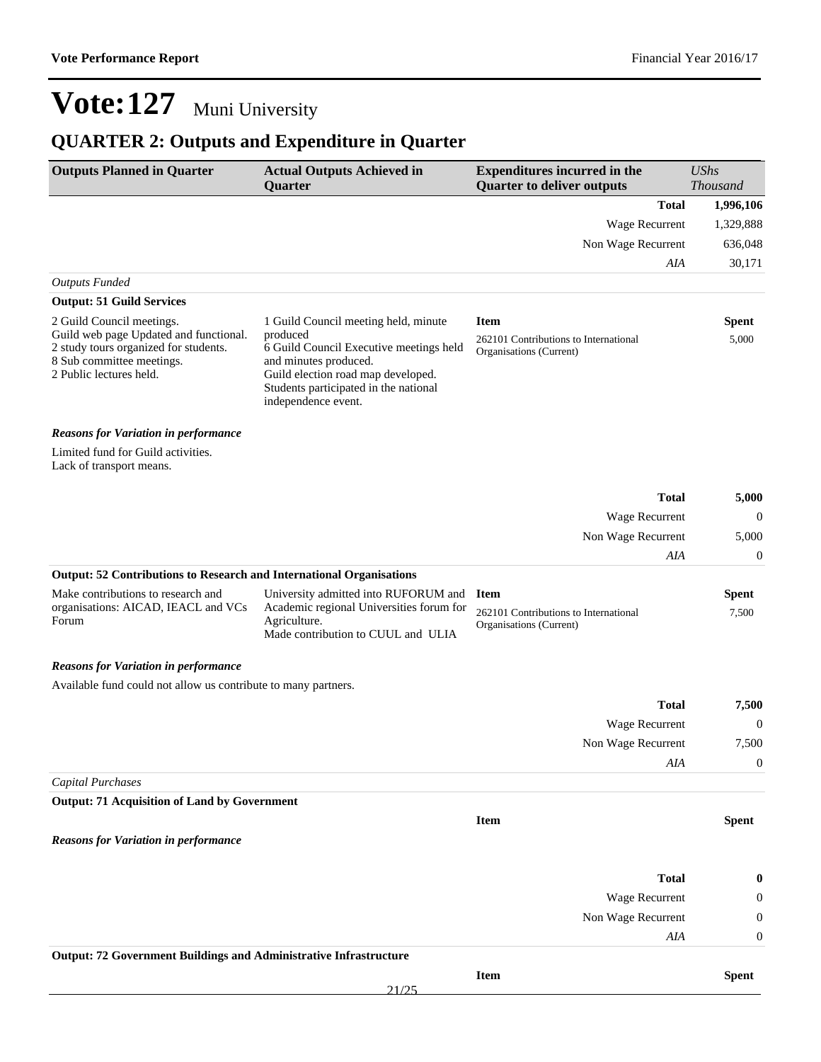## **QUARTER 2: Outputs and Expenditure in Quarter**

| <b>Outputs Planned in Quarter</b>                                                                                                                                    | <b>Actual Outputs Achieved in</b><br>Quarter                                                                                                                                                                               | <b>Expenditures incurred in the</b><br><b>Quarter to deliver outputs</b>        | <b>UShs</b><br><b>Thousand</b> |
|----------------------------------------------------------------------------------------------------------------------------------------------------------------------|----------------------------------------------------------------------------------------------------------------------------------------------------------------------------------------------------------------------------|---------------------------------------------------------------------------------|--------------------------------|
|                                                                                                                                                                      |                                                                                                                                                                                                                            | <b>Total</b>                                                                    | 1,996,106                      |
|                                                                                                                                                                      |                                                                                                                                                                                                                            | Wage Recurrent                                                                  | 1,329,888                      |
|                                                                                                                                                                      |                                                                                                                                                                                                                            | Non Wage Recurrent                                                              | 636,048                        |
|                                                                                                                                                                      |                                                                                                                                                                                                                            | AIA                                                                             | 30,171                         |
| <b>Outputs Funded</b>                                                                                                                                                |                                                                                                                                                                                                                            |                                                                                 |                                |
| <b>Output: 51 Guild Services</b>                                                                                                                                     |                                                                                                                                                                                                                            |                                                                                 |                                |
| 2 Guild Council meetings.<br>Guild web page Updated and functional.<br>2 study tours organized for students.<br>8 Sub committee meetings.<br>2 Public lectures held. | 1 Guild Council meeting held, minute<br>produced<br>6 Guild Council Executive meetings held<br>and minutes produced.<br>Guild election road map developed.<br>Students participated in the national<br>independence event. | <b>Item</b><br>262101 Contributions to International<br>Organisations (Current) | <b>Spent</b><br>5,000          |
| <b>Reasons for Variation in performance</b>                                                                                                                          |                                                                                                                                                                                                                            |                                                                                 |                                |
| Limited fund for Guild activities.<br>Lack of transport means.                                                                                                       |                                                                                                                                                                                                                            |                                                                                 |                                |
|                                                                                                                                                                      |                                                                                                                                                                                                                            | <b>Total</b>                                                                    | 5,000                          |
|                                                                                                                                                                      |                                                                                                                                                                                                                            | <b>Wage Recurrent</b>                                                           | $\mathbf{0}$                   |
|                                                                                                                                                                      |                                                                                                                                                                                                                            | Non Wage Recurrent                                                              | 5,000                          |
|                                                                                                                                                                      |                                                                                                                                                                                                                            | AIA                                                                             | 0                              |
| <b>Output: 52 Contributions to Research and International Organisations</b>                                                                                          |                                                                                                                                                                                                                            |                                                                                 |                                |
| Make contributions to research and<br>organisations: AICAD, IEACL and VCs<br>Forum                                                                                   | University admitted into RUFORUM and<br>Academic regional Universities forum for<br>Agriculture.<br>Made contribution to CUUL and ULIA                                                                                     | <b>Item</b><br>262101 Contributions to International<br>Organisations (Current) | <b>Spent</b><br>7,500          |
| <b>Reasons for Variation in performance</b>                                                                                                                          |                                                                                                                                                                                                                            |                                                                                 |                                |
| Available fund could not allow us contribute to many partners.                                                                                                       |                                                                                                                                                                                                                            |                                                                                 |                                |
|                                                                                                                                                                      |                                                                                                                                                                                                                            | <b>Total</b>                                                                    | 7,500                          |
|                                                                                                                                                                      |                                                                                                                                                                                                                            | Wage Recurrent                                                                  | $\mathbf{0}$                   |
|                                                                                                                                                                      |                                                                                                                                                                                                                            | Non Wage Recurrent                                                              | 7,500                          |
|                                                                                                                                                                      |                                                                                                                                                                                                                            | AIA                                                                             | $\boldsymbol{0}$               |
| <b>Capital Purchases</b>                                                                                                                                             |                                                                                                                                                                                                                            |                                                                                 |                                |
| <b>Output: 71 Acquisition of Land by Government</b>                                                                                                                  |                                                                                                                                                                                                                            |                                                                                 |                                |
|                                                                                                                                                                      |                                                                                                                                                                                                                            | <b>Item</b>                                                                     | <b>Spent</b>                   |
| <b>Reasons for Variation in performance</b>                                                                                                                          |                                                                                                                                                                                                                            |                                                                                 |                                |
|                                                                                                                                                                      |                                                                                                                                                                                                                            |                                                                                 |                                |
|                                                                                                                                                                      |                                                                                                                                                                                                                            | <b>Total</b>                                                                    | 0                              |
|                                                                                                                                                                      |                                                                                                                                                                                                                            | Wage Recurrent                                                                  | 0                              |
|                                                                                                                                                                      |                                                                                                                                                                                                                            | Non Wage Recurrent                                                              | 0                              |
|                                                                                                                                                                      |                                                                                                                                                                                                                            | AIA                                                                             | $\boldsymbol{0}$               |
| <b>Output: 72 Government Buildings and Administrative Infrastructure</b>                                                                                             |                                                                                                                                                                                                                            |                                                                                 |                                |
|                                                                                                                                                                      | 21/25                                                                                                                                                                                                                      | <b>Item</b>                                                                     | <b>Spent</b>                   |
|                                                                                                                                                                      |                                                                                                                                                                                                                            |                                                                                 |                                |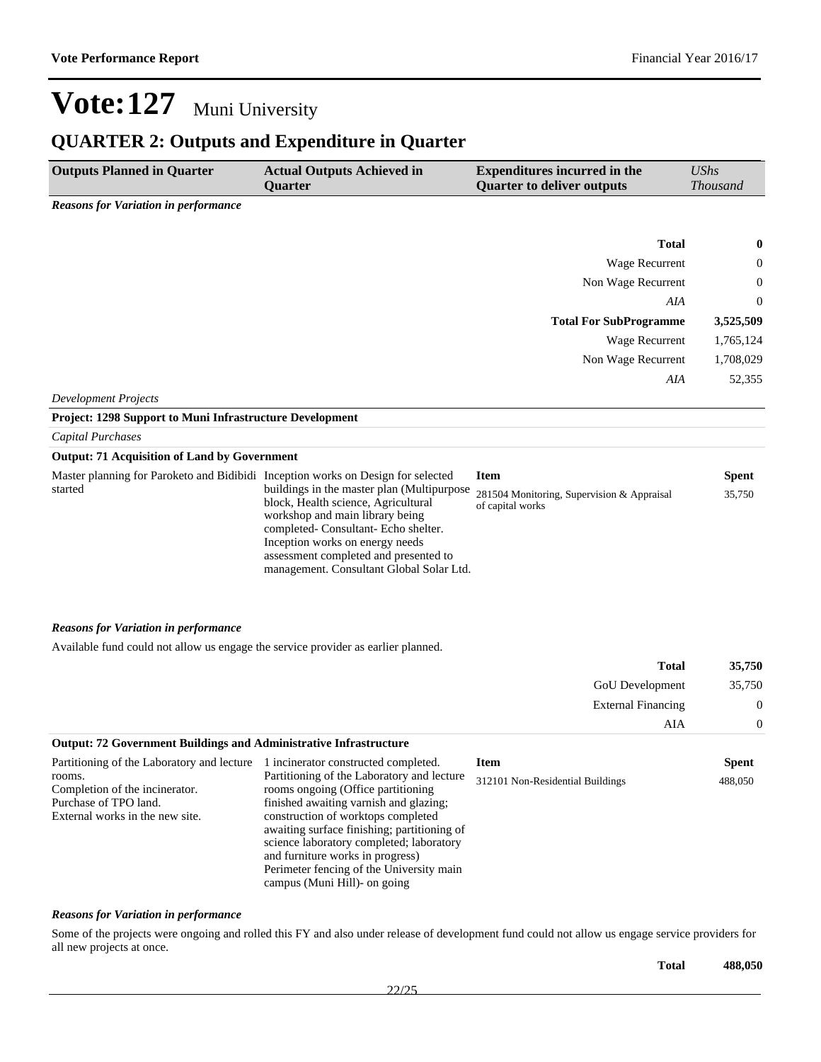## **QUARTER 2: Outputs and Expenditure in Quarter**

| <b>Outputs Planned in Quarter</b>                                                                                                                  | <b>Actual Outputs Achieved in</b><br>Quarter                                                                                                                                                                                                                                                                                                                                                                        | <b>Expenditures incurred in the</b><br><b>Quarter to deliver outputs</b> | <b>UShs</b><br><b>Thousand</b> |
|----------------------------------------------------------------------------------------------------------------------------------------------------|---------------------------------------------------------------------------------------------------------------------------------------------------------------------------------------------------------------------------------------------------------------------------------------------------------------------------------------------------------------------------------------------------------------------|--------------------------------------------------------------------------|--------------------------------|
| <b>Reasons for Variation in performance</b>                                                                                                        |                                                                                                                                                                                                                                                                                                                                                                                                                     |                                                                          |                                |
|                                                                                                                                                    |                                                                                                                                                                                                                                                                                                                                                                                                                     |                                                                          |                                |
|                                                                                                                                                    |                                                                                                                                                                                                                                                                                                                                                                                                                     | <b>Total</b>                                                             | 0                              |
|                                                                                                                                                    |                                                                                                                                                                                                                                                                                                                                                                                                                     | Wage Recurrent                                                           | 0                              |
|                                                                                                                                                    |                                                                                                                                                                                                                                                                                                                                                                                                                     | Non Wage Recurrent                                                       | $\theta$                       |
|                                                                                                                                                    |                                                                                                                                                                                                                                                                                                                                                                                                                     | AIA                                                                      | $\boldsymbol{0}$               |
|                                                                                                                                                    |                                                                                                                                                                                                                                                                                                                                                                                                                     | <b>Total For SubProgramme</b>                                            | 3,525,509                      |
|                                                                                                                                                    |                                                                                                                                                                                                                                                                                                                                                                                                                     | Wage Recurrent                                                           | 1,765,124                      |
|                                                                                                                                                    |                                                                                                                                                                                                                                                                                                                                                                                                                     | Non Wage Recurrent                                                       | 1,708,029                      |
|                                                                                                                                                    |                                                                                                                                                                                                                                                                                                                                                                                                                     | AIA                                                                      | 52,355                         |
| <b>Development Projects</b>                                                                                                                        |                                                                                                                                                                                                                                                                                                                                                                                                                     |                                                                          |                                |
| Project: 1298 Support to Muni Infrastructure Development                                                                                           |                                                                                                                                                                                                                                                                                                                                                                                                                     |                                                                          |                                |
| <b>Capital Purchases</b>                                                                                                                           |                                                                                                                                                                                                                                                                                                                                                                                                                     |                                                                          |                                |
| <b>Output: 71 Acquisition of Land by Government</b>                                                                                                |                                                                                                                                                                                                                                                                                                                                                                                                                     |                                                                          |                                |
| Master planning for Paroketo and Bidibidi Inception works on Design for selected                                                                   |                                                                                                                                                                                                                                                                                                                                                                                                                     | <b>Item</b>                                                              | <b>Spent</b>                   |
| started                                                                                                                                            | buildings in the master plan (Multipurpose<br>block, Health science, Agricultural<br>workshop and main library being<br>completed- Consultant- Echo shelter.<br>Inception works on energy needs<br>assessment completed and presented to<br>management. Consultant Global Solar Ltd.                                                                                                                                | 281504 Monitoring, Supervision & Appraisal<br>of capital works           | 35,750                         |
| <b>Reasons for Variation in performance</b>                                                                                                        |                                                                                                                                                                                                                                                                                                                                                                                                                     |                                                                          |                                |
| Available fund could not allow us engage the service provider as earlier planned.                                                                  |                                                                                                                                                                                                                                                                                                                                                                                                                     |                                                                          |                                |
|                                                                                                                                                    |                                                                                                                                                                                                                                                                                                                                                                                                                     | <b>Total</b>                                                             | 35,750                         |
|                                                                                                                                                    |                                                                                                                                                                                                                                                                                                                                                                                                                     | GoU Development                                                          | 35,750                         |
|                                                                                                                                                    |                                                                                                                                                                                                                                                                                                                                                                                                                     | <b>External Financing</b>                                                | $\boldsymbol{0}$               |
|                                                                                                                                                    |                                                                                                                                                                                                                                                                                                                                                                                                                     | AIA                                                                      | $\boldsymbol{0}$               |
| <b>Output: 72 Government Buildings and Administrative Infrastructure</b>                                                                           |                                                                                                                                                                                                                                                                                                                                                                                                                     |                                                                          |                                |
| Partitioning of the Laboratory and lecture<br>rooms.<br>Completion of the incinerator.<br>Purchase of TPO land.<br>External works in the new site. | 1 incinerator constructed completed.<br>Partitioning of the Laboratory and lecture<br>rooms ongoing (Office partitioning<br>finished awaiting varnish and glazing;<br>construction of worktops completed<br>awaiting surface finishing; partitioning of<br>science laboratory completed; laboratory<br>and furniture works in progress)<br>Perimeter fencing of the University main<br>campus (Muni Hill)- on going | <b>Item</b><br>312101 Non-Residential Buildings                          | <b>Spent</b><br>488,050        |

#### *Reasons for Variation in performance*

Some of the projects were ongoing and rolled this FY and also under release of development fund could not allow us engage service providers for all new projects at once.

**Total 488,050**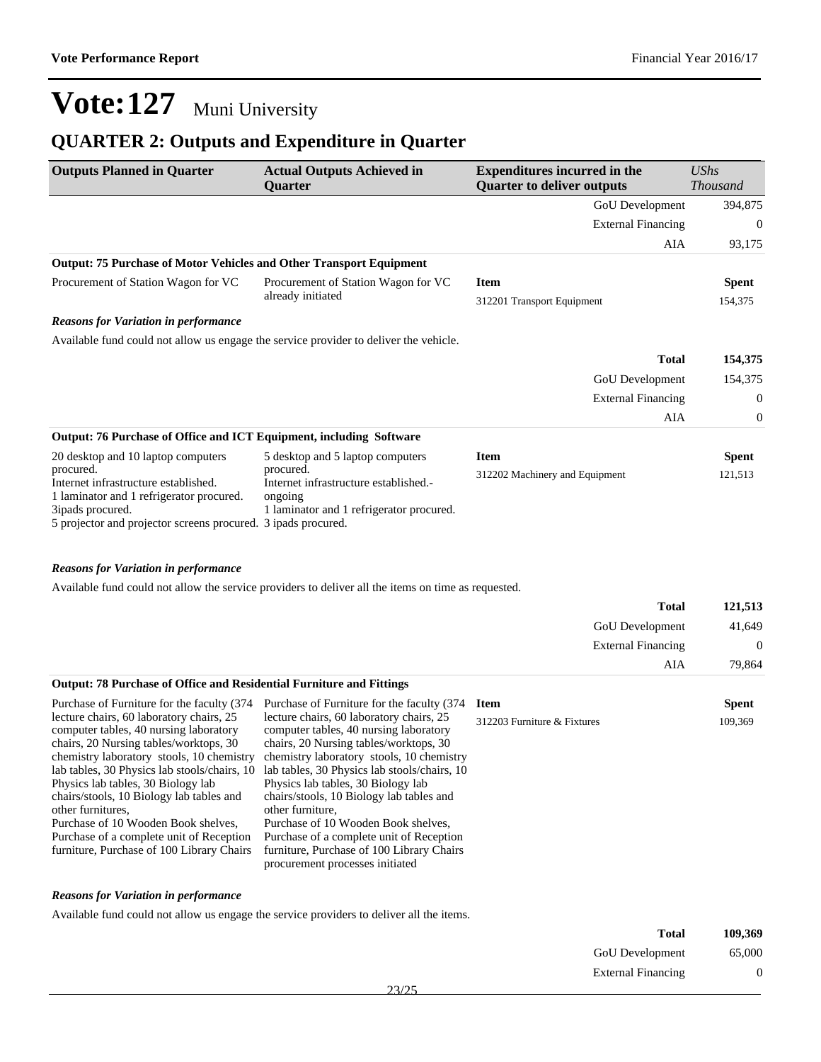### **QUARTER 2: Outputs and Expenditure in Quarter**

| <b>Outputs Planned in Quarter</b>                                                                                                                                                  | <b>Actual Outputs Achieved in</b><br><b>Ouarter</b>                                                       | <b>Expenditures incurred in the</b><br><b>Quarter to deliver outputs</b> | UShs<br><b>Thousand</b> |
|------------------------------------------------------------------------------------------------------------------------------------------------------------------------------------|-----------------------------------------------------------------------------------------------------------|--------------------------------------------------------------------------|-------------------------|
|                                                                                                                                                                                    |                                                                                                           | <b>GoU</b> Development                                                   | 394,875                 |
|                                                                                                                                                                                    |                                                                                                           | <b>External Financing</b>                                                | $\mathbf{0}$            |
|                                                                                                                                                                                    |                                                                                                           | AIA                                                                      | 93,175                  |
| Output: 75 Purchase of Motor Vehicles and Other Transport Equipment                                                                                                                |                                                                                                           |                                                                          |                         |
| Procurement of Station Wagon for VC                                                                                                                                                | Procurement of Station Wagon for VC                                                                       | <b>Item</b>                                                              | <b>Spent</b>            |
|                                                                                                                                                                                    | already initiated                                                                                         | 312201 Transport Equipment                                               | 154,375                 |
| <b>Reasons for Variation in performance</b>                                                                                                                                        |                                                                                                           |                                                                          |                         |
| Available fund could not allow us engage the service provider to deliver the vehicle.                                                                                              |                                                                                                           |                                                                          |                         |
|                                                                                                                                                                                    |                                                                                                           | <b>Total</b>                                                             | 154,375                 |
|                                                                                                                                                                                    |                                                                                                           | <b>GoU</b> Development                                                   | 154,375                 |
|                                                                                                                                                                                    |                                                                                                           | <b>External Financing</b>                                                | 0                       |
|                                                                                                                                                                                    |                                                                                                           | AIA                                                                      | $\overline{0}$          |
| <b>Output: 76 Purchase of Office and ICT Equipment, including Software</b>                                                                                                         |                                                                                                           |                                                                          |                         |
| 20 desktop and 10 laptop computers                                                                                                                                                 | 5 desktop and 5 laptop computers                                                                          | <b>Item</b>                                                              | <b>Spent</b>            |
| procured.<br>Internet infrastructure established.<br>1 laminator and 1 refrigerator procured.<br>3ipads procured.<br>5 projector and projector screens procured. 3 ipads procured. | procured.<br>Internet infrastructure established.-<br>ongoing<br>1 laminator and 1 refrigerator procured. | 312202 Machinery and Equipment                                           | 121,513                 |

#### *Reasons for Variation in performance*

Available fund could not allow the service providers to deliver all the items on time as requested.

| <b>Total</b>                                                                | 121.513  |
|-----------------------------------------------------------------------------|----------|
| <b>GoU</b> Development                                                      | 41,649   |
| <b>External Financing</b>                                                   | $\Omega$ |
| AIA                                                                         | 79.864   |
| <b>Output: 78 Purchase of Office and Residential Furniture and Fittings</b> |          |

#### Purchase of Furniture for the faculty (374 Purchase of Furniture for the faculty (374 lecture chairs, 60 laboratory chairs, 25 computer tables, 40 nursing laboratory chairs, 20 Nursing tables/worktops, 30 chemistry laboratory stools, 10 chemistry lab tables, 30 Physics lab stools/chairs, 10 Physics lab tables, 30 Biology lab chairs/stools, 10 Biology lab tables and other furnitures, Purchase of 10 Wooden Book shelves, Purchase of a complete unit of Reception furniture, Purchase of 100 Library Chairs lecture chairs, 60 laboratory chairs, 25 computer tables, 40 nursing laboratory chairs, 20 Nursing tables/worktops, 30 chemistry laboratory stools, 10 chemistry lab tables, 30 Physics lab stools/chairs, 10 Physics lab tables, 30 Biology lab chairs/stools, 10 Biology lab tables and other furniture, Purchase of 10 Wooden Book shelves, Purchase of a complete unit of Reception furniture, Purchase of 100 Library Chairs procurement processes initiated **Item Spent** 312203 Furniture & Fixtures 109,369

#### *Reasons for Variation in performance*

Available fund could not allow us engage the service providers to deliver all the items.

| 109,369 | <b>Total</b>              |  |
|---------|---------------------------|--|
| 65,000  | <b>GoU</b> Development    |  |
| υ       | <b>External Financing</b> |  |
|         | $- - - -$                 |  |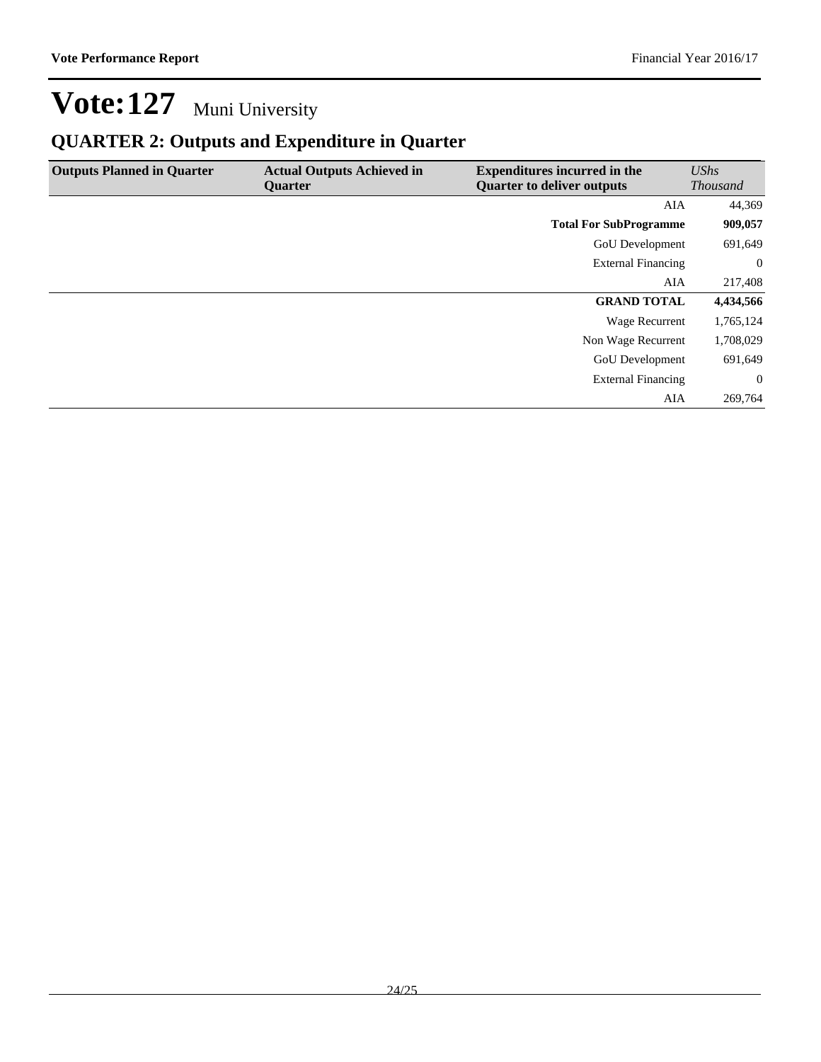## **QUARTER 2: Outputs and Expenditure in Quarter**

| <b>Outputs Planned in Quarter</b> | <b>Actual Outputs Achieved in</b><br><b>Ouarter</b> | <b>Expenditures incurred in the</b><br><b>Quarter to deliver outputs</b> | UShs<br><b>Thousand</b> |
|-----------------------------------|-----------------------------------------------------|--------------------------------------------------------------------------|-------------------------|
|                                   |                                                     | AIA                                                                      | 44,369                  |
|                                   |                                                     | <b>Total For SubProgramme</b>                                            | 909,057                 |
|                                   |                                                     | <b>GoU</b> Development                                                   | 691,649                 |
|                                   |                                                     | <b>External Financing</b>                                                | $\overline{0}$          |
|                                   |                                                     | AIA                                                                      | 217,408                 |
|                                   |                                                     | <b>GRAND TOTAL</b>                                                       | 4,434,566               |
|                                   |                                                     | Wage Recurrent                                                           | 1,765,124               |
|                                   |                                                     | Non Wage Recurrent                                                       | 1,708,029               |
|                                   |                                                     | <b>GoU</b> Development                                                   | 691,649                 |
|                                   |                                                     | <b>External Financing</b>                                                | $\overline{0}$          |
|                                   |                                                     | AIA                                                                      | 269,764                 |